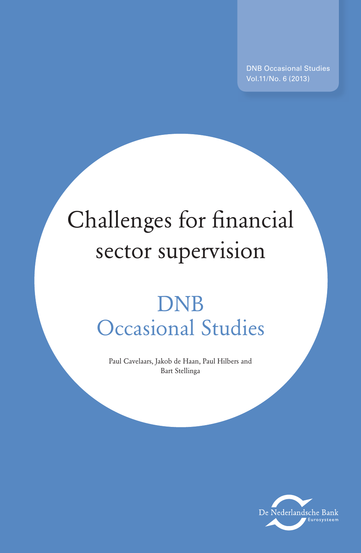DNB Occasional Studies Vol.11/No. 6 (2013)

# Challenges for financial sector supervision

# DNB Occasional Studies

Paul Cavelaars, Jakob de Haan, Paul Hilbers and Bart Stellinga

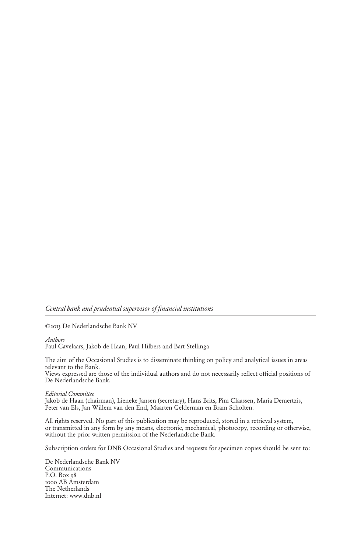*Central bank and prudential supervisor of financial institutions* 

©2013 De Nederlandsche Bank NV

*Authors* 

Paul Cavelaars, Jakob de Haan, Paul Hilbers and Bart Stellinga

The aim of the Occasional Studies is to disseminate thinking on policy and analytical issues in areas relevant to the Bank.

Views expressed are those of the individual authors and do not necessarily reflect official positions of De Nederlandsche Bank.

#### *Editorial Committee*

Jakob de Haan (chairman), Lieneke Jansen (secretary), Hans Brits, Pim Claassen, Maria Demertzis, Peter van Els, Jan Willem van den End, Maarten Gelderman en Bram Scholten.

All rights reserved. No part of this publication may be reproduced, stored in a retrieval system, or transmitted in any form by any means, electronic, mechanical, photocopy, recording or otherwise, without the prior written permission of the Nederlandsche Bank.

Subscription orders for DNB Occasional Studies and requests for specimen copies should be sent to:

De Nederlandsche Bank NV Communications P.O. Box 98 1000 AB Amsterdam The Netherlands Internet: www.dnb.nl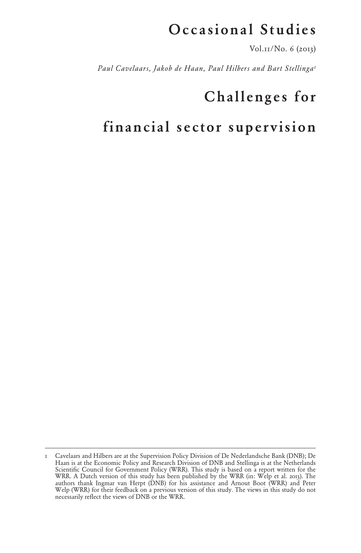## Occasional Studies

Vol.11/No. 6 (2013)

*Paul Cavelaars, Jakob de Haan, Paul Hilbers and Bart Stellinga1*

# Challenges for

# financial sector supervision

<sup>1</sup> Cavelaars and Hilbers are at the Supervision Policy Division of De Nederlandsche Bank (DNB); De Haan is at the Economic Policy and Research Division of DNB and Stellinga is at the Netherlands Scientific Council for Government Policy (WRR). This study is based on a report written for the WRR. A Dutch version of this study has been published by the WRR (in: Welp et al. 2013). The authors thank Ingmar van Herpt (DNB) for his assistance and Arnout Boot (WRR) and Peter Welp (WRR) for their feedback on a previous version of this study. The views in this study do not necessarily reflect the views of DNB or the WRR.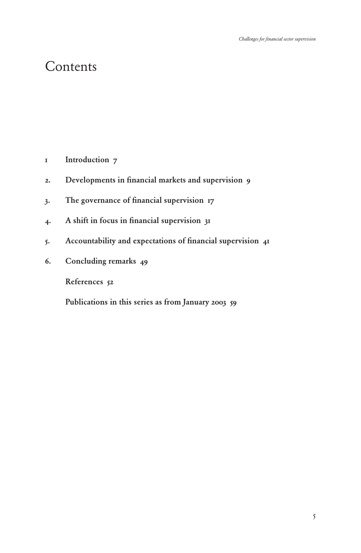### Contents

- [1 Introduction](#page-4-0) 7
- 2. [Developments in financial markets and supervision](#page-6-0) 9
- 3. [The governance of financial supervision](#page-6-0) 17
- 4. [A shift in focus in financial supervision](#page-27-0) 31
- 5. [Accountability and expectations of financial supervision](#page-37-0) 41
- 6. [Concluding remarks](#page-45-0) 49

[References](#page-48-0) 52

[Publications in this series as from January 2003](#page-55-0) 59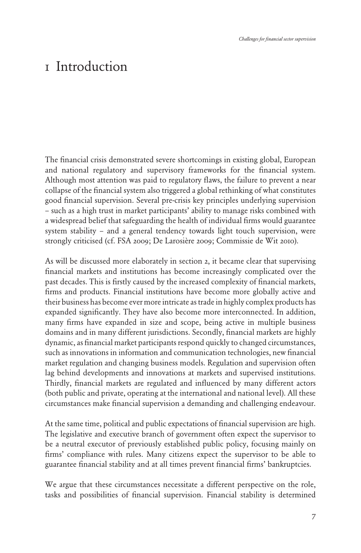### <span id="page-4-0"></span>1 Introduction

The financial crisis demonstrated severe shortcomings in existing global, European and national regulatory and supervisory frameworks for the financial system. Although most attention was paid to regulatory flaws, the failure to prevent a near collapse of the financial system also triggered a global rethinking of what constitutes good financial supervision. Several pre-crisis key principles underlying supervision – such as a high trust in market participants' ability to manage risks combined with a widespread belief that safeguarding the health of individual firms would guarantee system stability – and a general tendency towards light touch supervision, were strongly criticised (cf. FSA 2009; De Larosière 2009; Commissie de Wit 2010).

As will be discussed more elaborately in section 2, it became clear that supervising financial markets and institutions has become increasingly complicated over the past decades. This is firstly caused by the increased complexity of financial markets, firms and products. Financial institutions have become more globally active and their business has become ever more intricate as trade in highly complex products has expanded significantly. They have also become more interconnected. In addition, many firms have expanded in size and scope, being active in multiple business domains and in many different jurisdictions. Secondly, financial markets are highly dynamic, as financial market participants respond quickly to changed circumstances, such as innovations in information and communication technologies, new financial market regulation and changing business models. Regulation and supervision often lag behind developments and innovations at markets and supervised institutions. Thirdly, financial markets are regulated and influenced by many different actors (both public and private, operating at the international and national level). All these circumstances make financial supervision a demanding and challenging endeavour.

At the same time, political and public expectations of financial supervision are high. The legislative and executive branch of government often expect the supervisor to be a neutral executor of previously established public policy, focusing mainly on firms' compliance with rules. Many citizens expect the supervisor to be able to guarantee financial stability and at all times prevent financial firms' bankruptcies.

We argue that these circumstances necessitate a different perspective on the role, tasks and possibilities of financial supervision. Financial stability is determined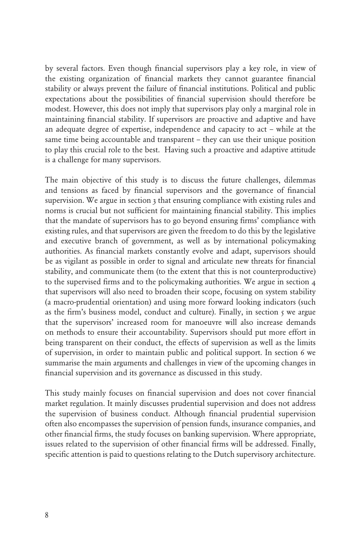by several factors. Even though financial supervisors play a key role, in view of the existing organization of financial markets they cannot guarantee financial stability or always prevent the failure of financial institutions. Political and public expectations about the possibilities of financial supervision should therefore be modest. However, this does not imply that supervisors play only a marginal role in maintaining financial stability. If supervisors are proactive and adaptive and have an adequate degree of expertise, independence and capacity to act – while at the same time being accountable and transparent – they can use their unique position to play this crucial role to the best. Having such a proactive and adaptive attitude is a challenge for many supervisors.

The main objective of this study is to discuss the future challenges, dilemmas and tensions as faced by financial supervisors and the governance of financial supervision. We argue in section 3 that ensuring compliance with existing rules and norms is crucial but not sufficient for maintaining financial stability. This implies that the mandate of supervisors has to go beyond ensuring firms' compliance with existing rules, and that supervisors are given the freedom to do this by the legislative and executive branch of government, as well as by international policymaking authorities. As financial markets constantly evolve and adapt, supervisors should be as vigilant as possible in order to signal and articulate new threats for financial stability, and communicate them (to the extent that this is not counterproductive) to the supervised firms and to the policymaking authorities. We argue in section 4 that supervisors will also need to broaden their scope, focusing on system stability (a macro-prudential orientation) and using more forward looking indicators (such as the firm's business model, conduct and culture). Finally, in section 5 we argue that the supervisors' increased room for manoeuvre will also increase demands on methods to ensure their accountability. Supervisors should put more effort in being transparent on their conduct, the effects of supervision as well as the limits of supervision, in order to maintain public and political support. In section 6 we summarise the main arguments and challenges in view of the upcoming changes in financial supervision and its governance as discussed in this study.

This study mainly focuses on financial supervision and does not cover financial market regulation. It mainly discusses prudential supervision and does not address the supervision of business conduct. Although financial prudential supervision often also encompasses the supervision of pension funds, insurance companies, and other financial firms, the study focuses on banking supervision. Where appropriate, issues related to the supervision of other financial firms will be addressed. Finally, specific attention is paid to questions relating to the Dutch supervisory architecture.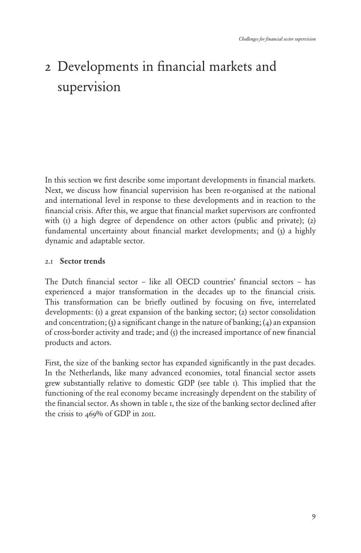# <span id="page-6-0"></span>2 Developments in financial markets and supervision

In this section we first describe some important developments in financial markets. Next, we discuss how financial supervision has been re-organised at the national and international level in response to these developments and in reaction to the financial crisis. After this, we argue that financial market supervisors are confronted with  $(i)$  a high degree of dependence on other actors (public and private); (2) fundamental uncertainty about financial market developments; and (3) a highly dynamic and adaptable sector.

#### 2.1 Sector trends

The Dutch financial sector – like all OECD countries' financial sectors – has experienced a major transformation in the decades up to the financial crisis. This transformation can be briefly outlined by focusing on five, interrelated developments: (1) a great expansion of the banking sector; (2) sector consolidation and concentration; (3) a significant change in the nature of banking; (4) an expansion of cross-border activity and trade; and (5) the increased importance of new financial products and actors.

First, the size of the banking sector has expanded significantly in the past decades. In the Netherlands, like many advanced economies, total financial sector assets grew substantially relative to domestic GDP (see table 1). This implied that the functioning of the real economy became increasingly dependent on the stability of the financial sector. As shown in table 1, the size of the banking sector declined after the crisis to 469% of GDP in 2011.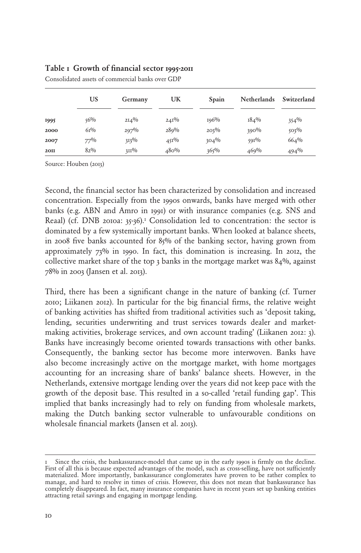#### Table 1 Growth of financial sector 1995-2011

|      | <b>US</b> | Germany | UK          | Spain   | <b>Netherlands</b> | Switzerland |
|------|-----------|---------|-------------|---------|--------------------|-------------|
| 1995 | $56\%$    | $2I4\%$ | $24I\%$     | 196%    | $184\%$            | $354\%$     |
| 2000 | $61\%$    | $297\%$ | 289%        | $203\%$ | $390\%$            | $503\%$     |
| 2007 | $77\%$    | $313\%$ | $45I^{0/0}$ | $304\%$ | $591\%$            | 664%        |
| 20II | $82\%$    | $311\%$ | 480%        | $365\%$ | 469%               | $494\%$     |

Consolidated assets of commercial banks over GDP

Source: Houben (2013)

Second, the financial sector has been characterized by consolidation and increased concentration. Especially from the 1990s onwards, banks have merged with other banks (e.g. ABN and Amro in 1991) or with insurance companies (e.g. SNS and Reaal) (cf. DNB 2010a:  $35-36$ ).<sup>1</sup> Consolidation led to concentration: the sector is dominated by a few systemically important banks. When looked at balance sheets, in 2008 five banks accounted for 85% of the banking sector, having grown from approximately 73% in 1990. In fact, this domination is increasing. In 2012, the collective market share of the top  $3$  banks in the mortgage market was  $84\%$ , against 78% in 2003 (Jansen et al. 2013).

Third, there has been a significant change in the nature of banking (cf. Turner 2010; Liikanen 2012). In particular for the big financial firms, the relative weight of banking activities has shifted from traditional activities such as 'deposit taking, lending, securities underwriting and trust services towards dealer and marketmaking activities, brokerage services, and own account trading' (Liikanen 2012: 3). Banks have increasingly become oriented towards transactions with other banks. Consequently, the banking sector has become more interwoven. Banks have also become increasingly active on the mortgage market, with home mortgages accounting for an increasing share of banks' balance sheets. However, in the Netherlands, extensive mortgage lending over the years did not keep pace with the growth of the deposit base. This resulted in a so-called 'retail funding gap'. This implied that banks increasingly had to rely on funding from wholesale markets, making the Dutch banking sector vulnerable to unfavourable conditions on wholesale financial markets (Jansen et al. 2013).

Since the crisis, the bankassurance-model that came up in the early 1990s is firmly on the decline. First of all this is because expected advantages of the model, such as cross-selling, have not sufficiently materialized. More importantly, bankassurance conglomerates have proven to be rather complex to manage, and hard to resolve in times of crisis. However, this does not mean that bankassurance has completely disappeared. In fact, many insurance companies have in recent years set up banking entities attracting retail savings and engaging in mortgage lending.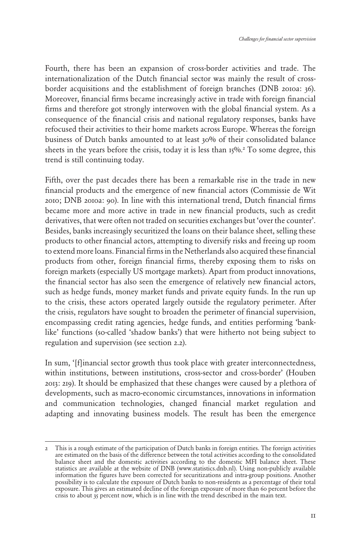Fourth, there has been an expansion of cross-border activities and trade. The internationalization of the Dutch financial sector was mainly the result of crossborder acquisitions and the establishment of foreign branches (DNB 2010a: 36). Moreover, financial firms became increasingly active in trade with foreign financial firms and therefore got strongly interwoven with the global financial system. As a consequence of the financial crisis and national regulatory responses, banks have refocused their activities to their home markets across Europe. Whereas the foreign business of Dutch banks amounted to at least 30% of their consolidated balance sheets in the years before the crisis, today it is less than 15%.<sup>2</sup> To some degree, this trend is still continuing today.

Fifth, over the past decades there has been a remarkable rise in the trade in new financial products and the emergence of new financial actors (Commissie de Wit 2010; DNB 2010a: 90). In line with this international trend, Dutch financial firms became more and more active in trade in new financial products, such as credit derivatives, that were often not traded on securities exchanges but 'over the counter'. Besides, banks increasingly securitized the loans on their balance sheet, selling these products to other financial actors, attempting to diversify risks and freeing up room to extend more loans. Financial firms in the Netherlands also acquired these financial products from other, foreign financial firms, thereby exposing them to risks on foreign markets (especially US mortgage markets). Apart from product innovations, the financial sector has also seen the emergence of relatively new financial actors, such as hedge funds, money market funds and private equity funds. In the run up to the crisis, these actors operated largely outside the regulatory perimeter. After the crisis, regulators have sought to broaden the perimeter of financial supervision, encompassing credit rating agencies, hedge funds, and entities performing 'banklike' functions (so-called 'shadow banks') that were hitherto not being subject to regulation and supervision (see section 2.2).

In sum, '[f]inancial sector growth thus took place with greater interconnectedness, within institutions, between institutions, cross-sector and cross-border' (Houben 2013: 219). It should be emphasized that these changes were caused by a plethora of developments, such as macro-economic circumstances, innovations in information and communication technologies, changed financial market regulation and adapting and innovating business models. The result has been the emergence

<sup>2</sup> This is a rough estimate of the participation of Dutch banks in foreign entities. The foreign activities are estimated on the basis of the difference between the total activities according to the consolidated balance sheet and the domestic activities according to the domestic MFI balance sheet. These statistics are available at the website of DNB (www.statistics.dnb.nl). Using non-publicly available information the figures have been corrected for securitizations and intra-group positions. Another possibility is to calculate the exposure of Dutch banks to non-residents as a percentage of their total exposure. This gives an estimated decline of the foreign exposure of more than 60 percent before the crisis to about 35 percent now, which is in line with the trend described in the main text.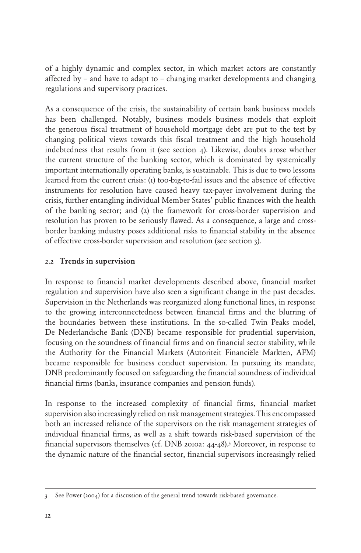of a highly dynamic and complex sector, in which market actors are constantly affected by – and have to adapt to – changing market developments and changing regulations and supervisory practices.

As a consequence of the crisis, the sustainability of certain bank business models has been challenged. Notably, business models business models that exploit the generous fiscal treatment of household mortgage debt are put to the test by changing political views towards this fiscal treatment and the high household indebtedness that results from it (see section 4). Likewise, doubts arose whether the current structure of the banking sector, which is dominated by systemically important internationally operating banks, is sustainable. This is due to two lessons learned from the current crisis: (1) too-big-to-fail issues and the absence of effective instruments for resolution have caused heavy tax-payer involvement during the crisis, further entangling individual Member States' public finances with the health of the banking sector; and (2) the framework for cross-border supervision and resolution has proven to be seriously flawed. As a consequence, a large and crossborder banking industry poses additional risks to financial stability in the absence of effective cross-border supervision and resolution (see section 3).

#### 2.2 Trends in supervision

In response to financial market developments described above, financial market regulation and supervision have also seen a significant change in the past decades. Supervision in the Netherlands was reorganized along functional lines, in response to the growing interconnectedness between financial firms and the blurring of the boundaries between these institutions. In the so-called Twin Peaks model, De Nederlandsche Bank (DNB) became responsible for prudential supervision, focusing on the soundness of financial firms and on financial sector stability, while the Authority for the Financial Markets (Autoriteit Financiële Markten, AFM) became responsible for business conduct supervision. In pursuing its mandate, DNB predominantly focused on safeguarding the financial soundness of individual financial firms (banks, insurance companies and pension funds).

In response to the increased complexity of financial firms, financial market supervision also increasingly relied on risk management strategies. This encompassed both an increased reliance of the supervisors on the risk management strategies of individual financial firms, as well as a shift towards risk-based supervision of the financial supervisors themselves (cf. DNB 2010a: 44-48).3 Moreover, in response to the dynamic nature of the financial sector, financial supervisors increasingly relied

<sup>3</sup> See Power (2004) for a discussion of the general trend towards risk-based governance.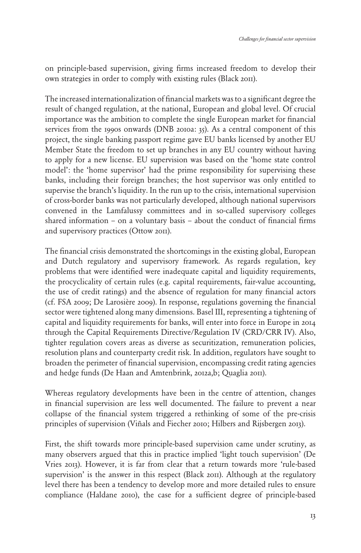on principle-based supervision, giving firms increased freedom to develop their own strategies in order to comply with existing rules (Black 2011).

The increased internationalization of financial markets was to a significant degree the result of changed regulation, at the national, European and global level. Of crucial importance was the ambition to complete the single European market for financial services from the 1990s onwards (DNB 2010a: 35). As a central component of this project, the single banking passport regime gave EU banks licensed by another EU Member State the freedom to set up branches in any EU country without having to apply for a new license. EU supervision was based on the 'home state control model': the 'home supervisor' had the prime responsibility for supervising these banks, including their foreign branches; the host supervisor was only entitled to supervise the branch's liquidity. In the run up to the crisis, international supervision of cross-border banks was not particularly developed, although national supervisors convened in the Lamfalussy committees and in so-called supervisory colleges shared information – on a voluntary basis – about the conduct of financial firms and supervisory practices (Ottow 2011).

The financial crisis demonstrated the shortcomings in the existing global, European and Dutch regulatory and supervisory framework. As regards regulation, key problems that were identified were inadequate capital and liquidity requirements, the procyclicality of certain rules (e.g. capital requirements, fair-value accounting, the use of credit ratings) and the absence of regulation for many financial actors (cf. FSA 2009; De Larosière 2009). In response, regulations governing the financial sector were tightened along many dimensions. Basel III, representing a tightening of capital and liquidity requirements for banks, will enter into force in Europe in 2014 through the Capital Requirements Directive/Regulation IV (CRD/CRR IV). Also, tighter regulation covers areas as diverse as securitization, remuneration policies, resolution plans and counterparty credit risk. In addition, regulators have sought to broaden the perimeter of financial supervision, encompassing credit rating agencies and hedge funds (De Haan and Amtenbrink, 2012a,b; Quaglia 2011).

Whereas regulatory developments have been in the centre of attention, changes in financial supervision are less well documented. The failure to prevent a near collapse of the financial system triggered a rethinking of some of the pre-crisis principles of supervision (Viñals and Fiecher 2010; Hilbers and Rijsbergen 2013).

First, the shift towards more principle-based supervision came under scrutiny, as many observers argued that this in practice implied 'light touch supervision' (De Vries 2013). However, it is far from clear that a return towards more 'rule-based supervision' is the answer in this respect (Black 2011). Although at the regulatory level there has been a tendency to develop more and more detailed rules to ensure compliance (Haldane 2010), the case for a sufficient degree of principle-based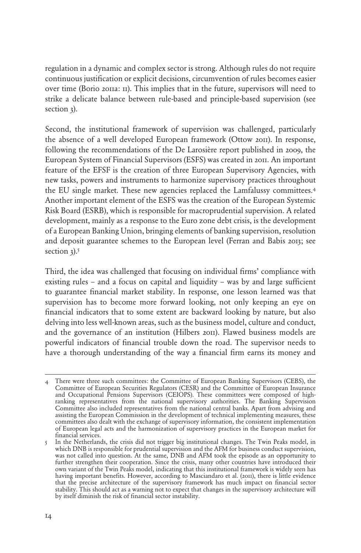regulation in a dynamic and complex sector is strong. Although rules do not require continuous justification or explicit decisions, circumvention of rules becomes easier over time (Borio 2011a: 11). This implies that in the future, supervisors will need to strike a delicate balance between rule-based and principle-based supervision (see section 3).

Second, the institutional framework of supervision was challenged, particularly the absence of a well developed European framework (Ottow 2011). In response, following the recommendations of the De Larosière report published in 2009, the European System of Financial Supervisors (ESFS) was created in 2011. An important feature of the EFSF is the creation of three European Supervisory Agencies, with new tasks, powers and instruments to harmonize supervisory practices throughout the EU single market. These new agencies replaced the Lamfalussy committees.4 Another important element of the ESFS was the creation of the European Systemic Risk Board (ESRB), which is responsible for macroprudential supervision. A related development, mainly as a response to the Euro zone debt crisis, is the development of a European Banking Union, bringing elements of banking supervision, resolution and deposit guarantee schemes to the European level (Ferran and Babis 2013; see section  $3$ ).<sup>5</sup>

Third, the idea was challenged that focusing on individual firms' compliance with existing rules – and a focus on capital and liquidity – was by and large sufficient to guarantee financial market stability. In response, one lesson learned was that supervision has to become more forward looking, not only keeping an eye on financial indicators that to some extent are backward looking by nature, but also delving into less well-known areas, such as the business model, culture and conduct, and the governance of an institution (Hilbers 2011). Flawed business models are powerful indicators of financial trouble down the road. The supervisor needs to have a thorough understanding of the way a financial firm earns its money and

<sup>4</sup> There were three such committees: the Committee of European Banking Supervisors (CEBS), the Committee of European Securities Regulators (CESR) and the Committee of European Insurance and Occupational Pensions Supervisors (CEIOPS). These committees were composed of highranking representatives from the national supervisory authorities. The Banking Supervision Committee also included representatives from the national central banks. Apart from advising and assisting the European Commission in the development of technical implementing measures, these committees also dealt with the exchange of supervisory information, the consistent implementation of European legal acts and the harmonization of supervisory practices in the European market for financial services.

<sup>5</sup> In the Netherlands, the crisis did not trigger big institutional changes. The Twin Peaks model, in which DNB is responsible for prudential supervision and the AFM for business conduct supervision, was not called into question. At the same, DNB and AFM took the episode as an opportunity to further strengthen their cooperation. Since the crisis, many other countries have introduced their own variant of the Twin Peaks model, indicating that this institutional framework is widely seen has having important benefits. However, according to Masciandaro et al. (2011), there is little evidence that the precise architecture of the supervisory framework has much impact on financial sector stability. This should act as a warning not to expect that changes in the supervisory architecture will by itself diminish the risk of financial sector instability.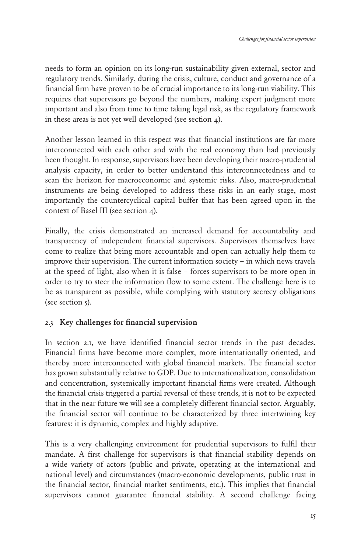needs to form an opinion on its long-run sustainability given external, sector and regulatory trends. Similarly, during the crisis, culture, conduct and governance of a financial firm have proven to be of crucial importance to its long-run viability. This requires that supervisors go beyond the numbers, making expert judgment more important and also from time to time taking legal risk, as the regulatory framework in these areas is not yet well developed (see section 4).

Another lesson learned in this respect was that financial institutions are far more interconnected with each other and with the real economy than had previously been thought. In response, supervisors have been developing their macro-prudential analysis capacity, in order to better understand this interconnectedness and to scan the horizon for macroeconomic and systemic risks. Also, macro-prudential instruments are being developed to address these risks in an early stage, most importantly the countercyclical capital buffer that has been agreed upon in the context of Basel III (see section 4).

Finally, the crisis demonstrated an increased demand for accountability and transparency of independent financial supervisors. Supervisors themselves have come to realize that being more accountable and open can actually help them to improve their supervision. The current information society – in which news travels at the speed of light, also when it is false – forces supervisors to be more open in order to try to steer the information flow to some extent. The challenge here is to be as transparent as possible, while complying with statutory secrecy obligations (see section  $\zeta$ ).

#### 2.3 Key challenges for financial supervision

In section 2.1, we have identified financial sector trends in the past decades. Financial firms have become more complex, more internationally oriented, and thereby more interconnected with global financial markets. The financial sector has grown substantially relative to GDP. Due to internationalization, consolidation and concentration, systemically important financial firms were created. Although the financial crisis triggered a partial reversal of these trends, it is not to be expected that in the near future we will see a completely different financial sector. Arguably, the financial sector will continue to be characterized by three intertwining key features: it is dynamic, complex and highly adaptive.

This is a very challenging environment for prudential supervisors to fulfil their mandate. A first challenge for supervisors is that financial stability depends on a wide variety of actors (public and private, operating at the international and national level) and circumstances (macro-economic developments, public trust in the financial sector, financial market sentiments, etc.). This implies that financial supervisors cannot guarantee financial stability. A second challenge facing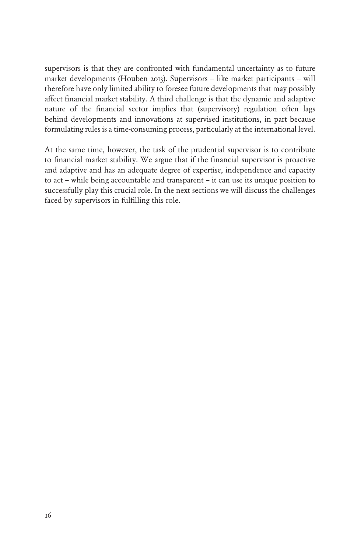supervisors is that they are confronted with fundamental uncertainty as to future market developments (Houben 2013). Supervisors – like market participants – will therefore have only limited ability to foresee future developments that may possibly affect financial market stability. A third challenge is that the dynamic and adaptive nature of the financial sector implies that (supervisory) regulation often lags behind developments and innovations at supervised institutions, in part because formulating rules is a time-consuming process, particularly at the international level.

At the same time, however, the task of the prudential supervisor is to contribute to financial market stability. We argue that if the financial supervisor is proactive and adaptive and has an adequate degree of expertise, independence and capacity to act – while being accountable and transparent – it can use its unique position to successfully play this crucial role. In the next sections we will discuss the challenges faced by supervisors in fulfilling this role.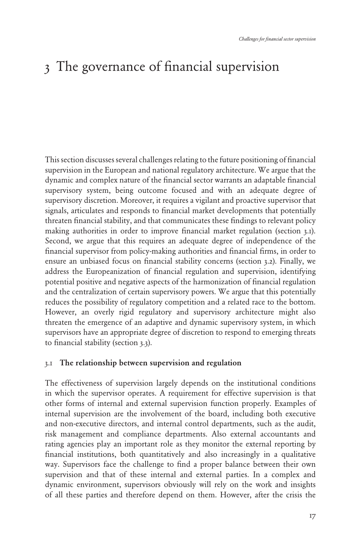# 3 The governance of financial supervision

This section discusses several challenges relating to the future positioning of financial supervision in the European and national regulatory architecture. We argue that the dynamic and complex nature of the financial sector warrants an adaptable financial supervisory system, being outcome focused and with an adequate degree of supervisory discretion. Moreover, it requires a vigilant and proactive supervisor that signals, articulates and responds to financial market developments that potentially threaten financial stability, and that communicates these findings to relevant policy making authorities in order to improve financial market regulation (section 3.1). Second, we argue that this requires an adequate degree of independence of the financial supervisor from policy-making authorities and financial firms, in order to ensure an unbiased focus on financial stability concerns (section 3.2). Finally, we address the Europeanization of financial regulation and supervision, identifying potential positive and negative aspects of the harmonization of financial regulation and the centralization of certain supervisory powers. We argue that this potentially reduces the possibility of regulatory competition and a related race to the bottom. However, an overly rigid regulatory and supervisory architecture might also threaten the emergence of an adaptive and dynamic supervisory system, in which supervisors have an appropriate degree of discretion to respond to emerging threats to financial stability (section 3.3).

#### 3.1 The relationship between supervision and regulation

The effectiveness of supervision largely depends on the institutional conditions in which the supervisor operates. A requirement for effective supervision is that other forms of internal and external supervision function properly. Examples of internal supervision are the involvement of the board, including both executive and non-executive directors, and internal control departments, such as the audit, risk management and compliance departments. Also external accountants and rating agencies play an important role as they monitor the external reporting by financial institutions, both quantitatively and also increasingly in a qualitative way. Supervisors face the challenge to find a proper balance between their own supervision and that of these internal and external parties. In a complex and dynamic environment, supervisors obviously will rely on the work and insights of all these parties and therefore depend on them. However, after the crisis the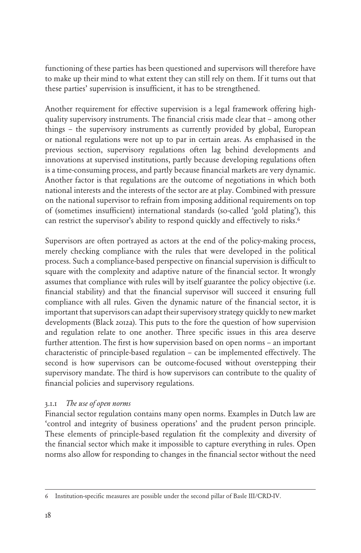functioning of these parties has been questioned and supervisors will therefore have to make up their mind to what extent they can still rely on them. If it turns out that these parties' supervision is insufficient, it has to be strengthened.

Another requirement for effective supervision is a legal framework offering highquality supervisory instruments. The financial crisis made clear that – among other things – the supervisory instruments as currently provided by global, European or national regulations were not up to par in certain areas. As emphasised in the previous section, supervisory regulations often lag behind developments and innovations at supervised institutions, partly because developing regulations often is a time-consuming process, and partly because financial markets are very dynamic. Another factor is that regulations are the outcome of negotiations in which both national interests and the interests of the sector are at play. Combined with pressure on the national supervisor to refrain from imposing additional requirements on top of (sometimes insufficient) international standards (so-called 'gold plating'), this can restrict the supervisor's ability to respond quickly and effectively to risks.<sup>6</sup>

Supervisors are often portrayed as actors at the end of the policy-making process, merely checking compliance with the rules that were developed in the political process. Such a compliance-based perspective on financial supervision is difficult to square with the complexity and adaptive nature of the financial sector. It wrongly assumes that compliance with rules will by itself guarantee the policy objective (i.e. financial stability) and that the financial supervisor will succeed it ensuring full compliance with all rules. Given the dynamic nature of the financial sector, it is important that supervisors can adapt their supervisory strategy quickly to new market developments (Black 2012a). This puts to the fore the question of how supervision and regulation relate to one another. Three specific issues in this area deserve further attention. The first is how supervision based on open norms – an important characteristic of principle-based regulation – can be implemented effectively. The second is how supervisors can be outcome-focused without overstepping their supervisory mandate. The third is how supervisors can contribute to the quality of financial policies and supervisory regulations.

#### 3.1.1 *The use of open norms*

Financial sector regulation contains many open norms. Examples in Dutch law are 'control and integrity of business operations' and the prudent person principle. These elements of principle-based regulation fit the complexity and diversity of the financial sector which make it impossible to capture everything in rules. Open norms also allow for responding to changes in the financial sector without the need

<sup>6</sup> Institution-specific measures are possible under the second pillar of Basle III/CRD-IV.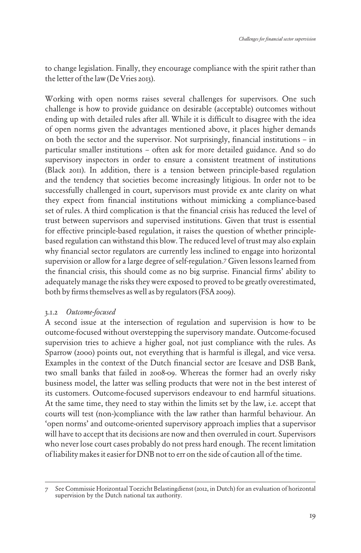to change legislation. Finally, they encourage compliance with the spirit rather than the letter of the law (De Vries 2013).

Working with open norms raises several challenges for supervisors. One such challenge is how to provide guidance on desirable (acceptable) outcomes without ending up with detailed rules after all. While it is difficult to disagree with the idea of open norms given the advantages mentioned above, it places higher demands on both the sector and the supervisor. Not surprisingly, financial institutions – in particular smaller institutions – often ask for more detailed guidance. And so do supervisory inspectors in order to ensure a consistent treatment of institutions (Black 2011). In addition, there is a tension between principle-based regulation and the tendency that societies become increasingly litigious. In order not to be successfully challenged in court, supervisors must provide ex ante clarity on what they expect from financial institutions without mimicking a compliance-based set of rules. A third complication is that the financial crisis has reduced the level of trust between supervisors and supervised institutions. Given that trust is essential for effective principle-based regulation, it raises the question of whether principlebased regulation can withstand this blow. The reduced level of trust may also explain why financial sector regulators are currently less inclined to engage into horizontal supervision or allow for a large degree of self-regulation.7 Given lessons learned from the financial crisis, this should come as no big surprise. Financial firms' ability to adequately manage the risks they were exposed to proved to be greatly overestimated, both by firms themselves as well as by regulators (FSA 2009).

#### 3.1.2 *Outcome-focused*

A second issue at the intersection of regulation and supervision is how to be outcome-focused without overstepping the supervisory mandate. Outcome-focused supervision tries to achieve a higher goal, not just compliance with the rules. As Sparrow (2000) points out, not everything that is harmful is illegal, and vice versa. Examples in the context of the Dutch financial sector are Icesave and DSB Bank, two small banks that failed in 2008-09. Whereas the former had an overly risky business model, the latter was selling products that were not in the best interest of its customers. Outcome-focused supervisors endeavour to end harmful situations. At the same time, they need to stay within the limits set by the law, i.e. accept that courts will test (non-)compliance with the law rather than harmful behaviour. An 'open norms' and outcome-oriented supervisory approach implies that a supervisor will have to accept that its decisions are now and then overruled in court. Supervisors who never lose court cases probably do not press hard enough. The recent limitation of liability makes it easier for DNB not to err on the side of caution all of the time.

<sup>7</sup> See Commissie Horizontaal Toezicht Belastingdienst (2012, in Dutch) for an evaluation of horizontal supervision by the Dutch national tax authority.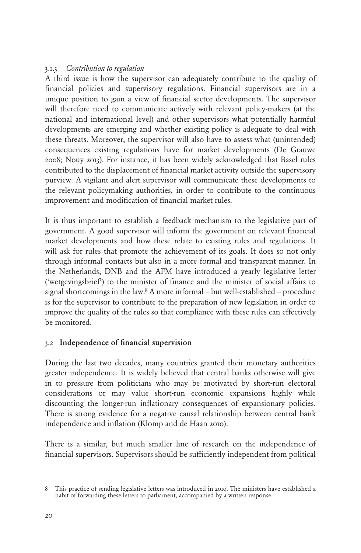#### 3.1.3 *Contribution to regulation*

A third issue is how the supervisor can adequately contribute to the quality of financial policies and supervisory regulations. Financial supervisors are in a unique position to gain a view of financial sector developments. The supervisor will therefore need to communicate actively with relevant policy-makers (at the national and international level) and other supervisors what potentially harmful developments are emerging and whether existing policy is adequate to deal with these threats. Moreover, the supervisor will also have to assess what (unintended) consequences existing regulations have for market developments (De Grauwe 2008; Nouy 2013). For instance, it has been widely acknowledged that Basel rules contributed to the displacement of financial market activity outside the supervisory purview. A vigilant and alert supervisor will communicate these developments to the relevant policymaking authorities, in order to contribute to the continuous improvement and modification of financial market rules.

It is thus important to establish a feedback mechanism to the legislative part of government. A good supervisor will inform the government on relevant financial market developments and how these relate to existing rules and regulations. It will ask for rules that promote the achievement of its goals. It does so not only through informal contacts but also in a more formal and transparent manner. In the Netherlands, DNB and the AFM have introduced a yearly legislative letter ('wetgevingsbrief') to the minister of finance and the minister of social affairs to signal shortcomings in the law.8 A more informal – but well-established – procedure is for the supervisor to contribute to the preparation of new legislation in order to improve the quality of the rules so that compliance with these rules can effectively be monitored.

#### 3.2 Independence of financial supervision

During the last two decades, many countries granted their monetary authorities greater independence. It is widely believed that central banks otherwise will give in to pressure from politicians who may be motivated by short-run electoral considerations or may value short-run economic expansions highly while discounting the longer-run inflationary consequences of expansionary policies. There is strong evidence for a negative causal relationship between central bank independence and inflation (Klomp and de Haan 2010).

There is a similar, but much smaller line of research on the independence of financial supervisors. Supervisors should be sufficiently independent from political

<sup>8</sup> This practice of sending legislative letters was introduced in 2010. The ministers have established a habit of forwarding these letters to parliament, accompanied by a written response.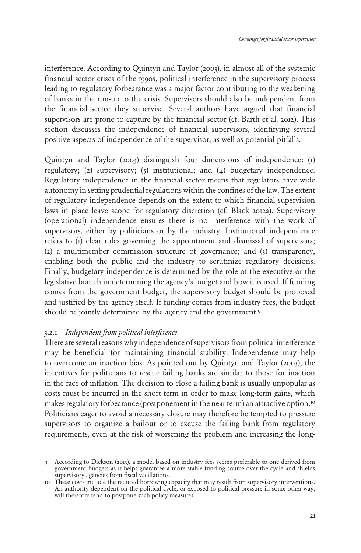interference. According to Quintyn and Taylor (2003), in almost all of the systemic financial sector crises of the 1990s, political interference in the supervisory process leading to regulatory forbearance was a major factor contributing to the weakening of banks in the run-up to the crisis. Supervisors should also be independent from the financial sector they supervise. Several authors have argued that financial supervisors are prone to capture by the financial sector (cf. Barth et al. 2012). This section discusses the independence of financial supervisors, identifying several positive aspects of independence of the supervisor, as well as potential pitfalls.

Quintyn and Taylor (2003) distinguish four dimensions of independence: (1) regulatory; (2) supervisory; (3) institutional; and (4) budgetary independence. Regulatory independence in the financial sector means that regulators have wide autonomy in setting prudential regulations within the confines of the law. The extent of regulatory independence depends on the extent to which financial supervision laws in place leave scope for regulatory discretion (cf. Black 2012a). Supervisory (operational) independence ensures there is no interference with the work of supervisors, either by politicians or by the industry. Institutional independence refers to (1) clear rules governing the appointment and dismissal of supervisors; (2) a multimember commission structure of governance; and (3) transparency, enabling both the public and the industry to scrutinize regulatory decisions. Finally, budgetary independence is determined by the role of the executive or the legislative branch in determining the agency's budget and how it is used. If funding comes from the government budget, the supervisory budget should be proposed and justified by the agency itself. If funding comes from industry fees, the budget should be jointly determined by the agency and the government.<sup>9</sup>

#### 3.2.1 *Independent from political interference*

There are several reasons why independence of supervisors from political interference may be beneficial for maintaining financial stability. Independence may help to overcome an inaction bias. As pointed out by Quintyn and Taylor (2003), the incentives for politicians to rescue failing banks are similar to those for inaction in the face of inflation. The decision to close a failing bank is usually unpopular as costs must be incurred in the short term in order to make long-term gains, which makes regulatory forbearance (postponement in the near term) an attractive option.10 Politicians eager to avoid a necessary closure may therefore be tempted to pressure supervisors to organize a bailout or to excuse the failing bank from regulatory requirements, even at the risk of worsening the problem and increasing the long-

<sup>9</sup> According to Dickson (2013), a model based on industry fees seems preferable to one derived from government budgets as it helps guarantee a more stable funding source over the cycle and shields supervisory agencies from fiscal vacillations.

<sup>10</sup> These costs include the reduced borrowing capacity that may result from supervisory interventions. An authority dependent on the political cycle, or exposed to political pressure in some other way, will therefore tend to postpone such policy measures.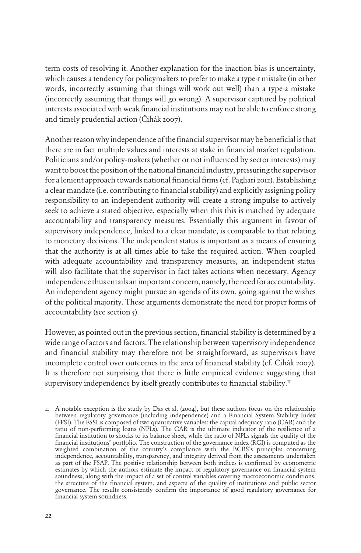term costs of resolving it. Another explanation for the inaction bias is uncertainty, which causes a tendency for policymakers to prefer to make a type-1 mistake (in other words, incorrectly assuming that things will work out well) than a type-2 mistake (incorrectly assuming that things will go wrong). A supervisor captured by political interests associated with weak financial institutions may not be able to enforce strong and timely prudential action (Čihák 2007).

Another reason why independence of the financial supervisor may be beneficial is that there are in fact multiple values and interests at stake in financial market regulation. Politicians and/or policy-makers (whether or not influenced by sector interests) may want to boost the position of the national financial industry, pressuring the supervisor for a lenient approach towards national financial firms (cf. Pagliari 2012). Establishing a clear mandate (i.e. contributing to financial stability) and explicitly assigning policy responsibility to an independent authority will create a strong impulse to actively seek to achieve a stated objective, especially when this this is matched by adequate accountability and transparency measures. Essentially this argument in favour of supervisory independence, linked to a clear mandate, is comparable to that relating to monetary decisions. The independent status is important as a means of ensuring that the authority is at all times able to take the required action. When coupled with adequate accountability and transparency measures, an independent status will also facilitate that the supervisor in fact takes actions when necessary. Agency independence thus entails an important concern, namely, the need for accountability. An independent agency might pursue an agenda of its own, going against the wishes of the political majority. These arguments demonstrate the need for proper forms of accountability (see section 5).

However, as pointed out in the previous section, financial stability is determined by a wide range of actors and factors. The relationship between supervisory independence and financial stability may therefore not be straightforward, as supervisors have incomplete control over outcomes in the area of financial stability (cf. Čihák 2007). It is therefore not surprising that there is little empirical evidence suggesting that supervisory independence by itself greatly contributes to financial stability.<sup>11</sup>

<sup>11</sup> A notable exception is the study by Das et al. (2004), but these authors focus on the relationship between regulatory governance (including independence) and a Financial System Stability Index (FFSI). The FSSI is composed of two quantitative variables: the capital adequacy ratio (CAR) and the ratio of non-performing loans (NPLs). The CAR is the ultimate indicator of the resilience of a financial institution to shocks to its balance sheet, while the ratio of NPLs signals the quality of the financial institutions' portfolio. The construction of the governance index (RGI) is computed as the weighted combination of the country's compliance with the BCBS's principles concerning independence, accountability, transparency, and integrity derived from the assessments undertaken as part of the FSAP. The positive relationship between both indices is confirmed by econometric estimates by which the authors estimate the impact of regulatory governance on financial system soundness, along with the impact of a set of control variables covering macroeconomic conditions, the structure of the financial system, and aspects of the quality of institutions and public sector governance. The results consistently confirm the importance of good regulatory governance for financial system soundness.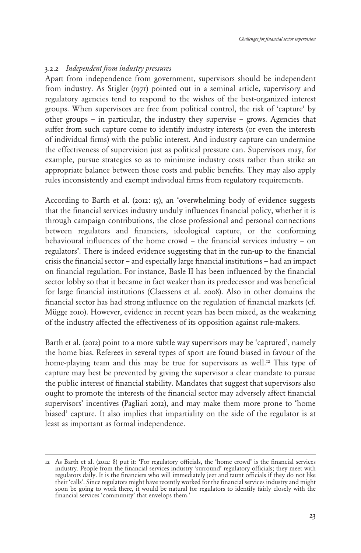#### 3.2.2 *Independent from industry pressures*

Apart from independence from government, supervisors should be independent from industry. As Stigler (1971) pointed out in a seminal article, supervisory and regulatory agencies tend to respond to the wishes of the best-organized interest groups. When supervisors are free from political control, the risk of 'capture' by other groups – in particular, the industry they supervise – grows. Agencies that suffer from such capture come to identify industry interests (or even the interests of individual firms) with the public interest. And industry capture can undermine the effectiveness of supervision just as political pressure can. Supervisors may, for example, pursue strategies so as to minimize industry costs rather than strike an appropriate balance between those costs and public benefits. They may also apply rules inconsistently and exempt individual firms from regulatory requirements.

According to Barth et al. (2012: 15), an 'overwhelming body of evidence suggests that the financial services industry unduly influences financial policy, whether it is through campaign contributions, the close professional and personal connections between regulators and financiers, ideological capture, or the conforming behavioural influences of the home crowd – the financial services industry – on regulators'. There is indeed evidence suggesting that in the run-up to the financial crisis the financial sector – and especially large financial institutions – had an impact on financial regulation. For instance, Basle II has been influenced by the financial sector lobby so that it became in fact weaker than its predecessor and was beneficial for large financial institutions (Claessens et al. 2008). Also in other domains the financial sector has had strong influence on the regulation of financial markets (cf. Mügge 2010). However, evidence in recent years has been mixed, as the weakening of the industry affected the effectiveness of its opposition against rule-makers.

Barth et al. (2012) point to a more subtle way supervisors may be 'captured', namely the home bias. Referees in several types of sport are found biased in favour of the home-playing team and this may be true for supervisors as well.<sup>12</sup> This type of capture may best be prevented by giving the supervisor a clear mandate to pursue the public interest of financial stability. Mandates that suggest that supervisors also ought to promote the interests of the financial sector may adversely affect financial supervisors' incentives (Pagliari 2012), and may make them more prone to 'home biased' capture. It also implies that impartiality on the side of the regulator is at least as important as formal independence.

<sup>12</sup> As Barth et al. (2012: 8) put it: 'For regulatory officials, the 'home crowd' is the financial services industry. People from the financial services industry 'surround' regulatory officials; they meet with regulators daily. It is the financiers who will immediately jeer and taunt officials if they do not like their 'calls'. Since regulators might have recently worked for the financial services industry and might soon be going to work there, it would be natural for regulators to identify fairly closely with the financial services 'community' that envelops them.'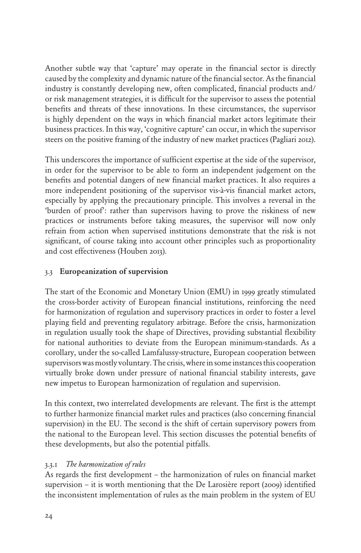Another subtle way that 'capture' may operate in the financial sector is directly caused by the complexity and dynamic nature of the financial sector. As the financial industry is constantly developing new, often complicated, financial products and/ or risk management strategies, it is difficult for the supervisor to assess the potential benefits and threats of these innovations. In these circumstances, the supervisor is highly dependent on the ways in which financial market actors legitimate their business practices. In this way, 'cognitive capture' can occur, in which the supervisor steers on the positive framing of the industry of new market practices (Pagliari 2012).

This underscores the importance of sufficient expertise at the side of the supervisor, in order for the supervisor to be able to form an independent judgement on the benefits and potential dangers of new financial market practices. It also requires a more independent positioning of the supervisor vis-à-vis financial market actors, especially by applying the precautionary principle. This involves a reversal in the 'burden of proof': rather than supervisors having to prove the riskiness of new practices or instruments before taking measures, the supervisor will now only refrain from action when supervised institutions demonstrate that the risk is not significant, of course taking into account other principles such as proportionality and cost effectiveness (Houben 2013).

#### 3.3 Europeanization of supervision

The start of the Economic and Monetary Union (EMU) in 1999 greatly stimulated the cross-border activity of European financial institutions, reinforcing the need for harmonization of regulation and supervisory practices in order to foster a level playing field and preventing regulatory arbitrage. Before the crisis, harmonization in regulation usually took the shape of Directives, providing substantial flexibility for national authorities to deviate from the European minimum-standards. As a corollary, under the so-called Lamfalussy-structure, European cooperation between supervisors was mostly voluntary. The crisis, where in some instances this cooperation virtually broke down under pressure of national financial stability interests, gave new impetus to European harmonization of regulation and supervision.

In this context, two interrelated developments are relevant. The first is the attempt to further harmonize financial market rules and practices (also concerning financial supervision) in the EU. The second is the shift of certain supervisory powers from the national to the European level. This section discusses the potential benefits of these developments, but also the potential pitfalls.

#### 3.3.1 *The harmonization of rules*

As regards the first development – the harmonization of rules on financial market supervision – it is worth mentioning that the De Larosière report (2009) identified the inconsistent implementation of rules as the main problem in the system of EU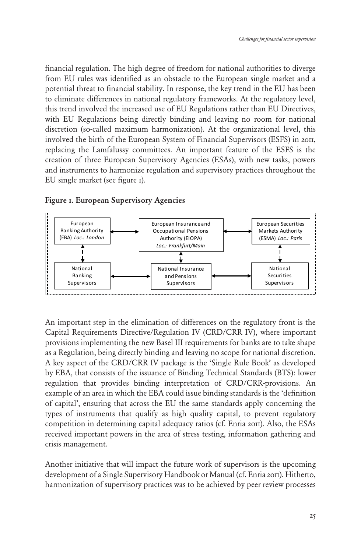financial regulation. The high degree of freedom for national authorities to diverge from EU rules was identified as an obstacle to the European single market and a potential threat to financial stability. In response, the key trend in the EU has been to eliminate differences in national regulatory frameworks. At the regulatory level, this trend involved the increased use of EU Regulations rather than EU Directives, with EU Regulations being directly binding and leaving no room for national discretion (so-called maximum harmonization). At the organizational level, this involved the birth of the European System of Financial Supervisors (ESFS) in 2011, replacing the Lamfalussy committees. An important feature of the ESFS is the creation of three European Supervisory Agencies (ESAs), with new tasks, powers and instruments to harmonize regulation and supervisory practices throughout the EU single market (see figure 1).



Figure 1. European Supervisory Agencies

An important step in the elimination of differences on the regulatory front is the Capital Requirements Directive/Regulation IV (CRD/CRR IV), where important provisions implementing the new Basel III requirements for banks are to take shape as a Regulation, being directly binding and leaving no scope for national discretion. A key aspect of the CRD/CRR IV package is the 'Single Rule Book' as developed by EBA, that consists of the issuance of Binding Technical Standards (BTS): lower regulation that provides binding interpretation of CRD/CRR-provisions. An example of an area in which the EBA could issue binding standards is the 'definition of capital', ensuring that across the EU the same standards apply concerning the types of instruments that qualify as high quality capital, to prevent regulatory competition in determining capital adequacy ratios (cf. Enria 2011). Also, the ESAs received important powers in the area of stress testing, information gathering and crisis management.

Another initiative that will impact the future work of supervisors is the upcoming development of a Single Supervisory Handbook or Manual (cf. Enria 2011). Hitherto, harmonization of supervisory practices was to be achieved by peer review processes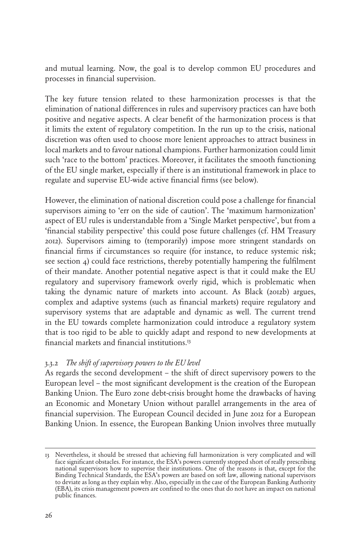and mutual learning. Now, the goal is to develop common EU procedures and processes in financial supervision.

The key future tension related to these harmonization processes is that the elimination of national differences in rules and supervisory practices can have both positive and negative aspects. A clear benefit of the harmonization process is that it limits the extent of regulatory competition. In the run up to the crisis, national discretion was often used to choose more lenient approaches to attract business in local markets and to favour national champions. Further harmonization could limit such 'race to the bottom' practices. Moreover, it facilitates the smooth functioning of the EU single market, especially if there is an institutional framework in place to regulate and supervise EU-wide active financial firms (see below).

However, the elimination of national discretion could pose a challenge for financial supervisors aiming to 'err on the side of caution'. The 'maximum harmonization' aspect of EU rules is understandable from a 'Single Market perspective', but from a 'financial stability perspective' this could pose future challenges (cf. HM Treasury 2012). Supervisors aiming to (temporarily) impose more stringent standards on financial firms if circumstances so require (for instance, to reduce systemic risk; see section 4) could face restrictions, thereby potentially hampering the fulfilment of their mandate. Another potential negative aspect is that it could make the EU regulatory and supervisory framework overly rigid, which is problematic when taking the dynamic nature of markets into account. As Black (2012b) argues, complex and adaptive systems (such as financial markets) require regulatory and supervisory systems that are adaptable and dynamic as well. The current trend in the EU towards complete harmonization could introduce a regulatory system that is too rigid to be able to quickly adapt and respond to new developments at financial markets and financial institutions.13

#### 3.3.2 *The shift of supervisory powers to the EU level*

As regards the second development – the shift of direct supervisory powers to the European level – the most significant development is the creation of the European Banking Union. The Euro zone debt-crisis brought home the drawbacks of having an Economic and Monetary Union without parallel arrangements in the area of financial supervision. The European Council decided in June 2012 for a European Banking Union. In essence, the European Banking Union involves three mutually

<sup>13</sup> Nevertheless, it should be stressed that achieving full harmonization is very complicated and will face significant obstacles. For instance, the ESA's powers currently stopped short of really prescribing national supervisors how to supervise their institutions. One of the reasons is that, except for the Binding Technical Standards, the ESA's powers are based on soft law, allowing national supervisors to deviate as long as they explain why. Also, especially in the case of the European Banking Authority (EBA), its crisis management powers are confined to the ones that do not have an impact on national public finances.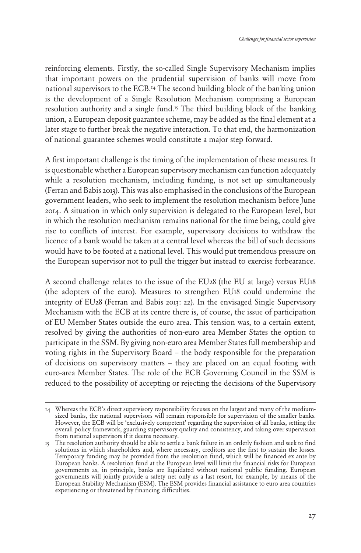reinforcing elements. Firstly, the so-called Single Supervisory Mechanism implies that important powers on the prudential supervision of banks will move from national supervisors to the ECB.14 The second building block of the banking union is the development of a Single Resolution Mechanism comprising a European resolution authority and a single fund.<sup>15</sup> The third building block of the banking union, a European deposit guarantee scheme, may be added as the final element at a later stage to further break the negative interaction. To that end, the harmonization of national guarantee schemes would constitute a major step forward.

A first important challenge is the timing of the implementation of these measures. It is questionable whether a European supervisory mechanism can function adequately while a resolution mechanism, including funding, is not set up simultaneously (Ferran and Babis 2013). This was also emphasised in the conclusions of the European government leaders, who seek to implement the resolution mechanism before June 2014. A situation in which only supervision is delegated to the European level, but in which the resolution mechanism remains national for the time being, could give rise to conflicts of interest. For example, supervisory decisions to withdraw the licence of a bank would be taken at a central level whereas the bill of such decisions would have to be footed at a national level. This would put tremendous pressure on the European supervisor not to pull the trigger but instead to exercise forbearance.

A second challenge relates to the issue of the EU28 (the EU at large) versus EU18 (the adopters of the euro). Measures to strengthen EU18 could undermine the integrity of EU28 (Ferran and Babis 2013: 22). In the envisaged Single Supervisory Mechanism with the ECB at its centre there is, of course, the issue of participation of EU Member States outside the euro area. This tension was, to a certain extent, resolved by giving the authorities of non-euro area Member States the option to participate in the SSM. By giving non-euro area Member States full membership and voting rights in the Supervisory Board – the body responsible for the preparation of decisions on supervisory matters – they are placed on an equal footing with euro-area Member States. The role of the ECB Governing Council in the SSM is reduced to the possibility of accepting or rejecting the decisions of the Supervisory

<sup>14</sup> Whereas the ECB's direct supervisory responsibility focuses on the largest and many of the mediumsized banks, the national supervisors will remain responsible for supervision of the smaller banks. However, the ECB will be 'exclusively competent' regarding the supervision of all banks, setting the overall policy framework, guarding supervisory quality and consistency, and taking over supervision from national supervisors if it deems necessary.

<sup>15</sup> The resolution authority should be able to settle a bank failure in an orderly fashion and seek to find solutions in which shareholders and, where necessary, creditors are the first to sustain the losses. Temporary funding may be provided from the resolution fund, which will be financed ex ante by European banks. A resolution fund at the European level will limit the financial risks for European governments as, in principle, banks are liquidated without national public funding. European governments will jointly provide a safety net only as a last resort, for example, by means of the European Stability Mechanism (ESM). The ESM provides financial assistance to euro area countries experiencing or threatened by financing difficulties.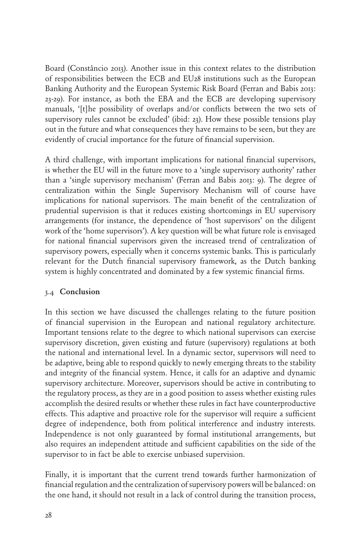Board (Constâncio 2013). Another issue in this context relates to the distribution of responsibilities between the ECB and EU28 institutions such as the European Banking Authority and the European Systemic Risk Board (Ferran and Babis 2013: 23-29). For instance, as both the EBA and the ECB are developing supervisory manuals, '[t]he possibility of overlaps and/or conflicts between the two sets of supervisory rules cannot be excluded' (ibid: 23). How these possible tensions play out in the future and what consequences they have remains to be seen, but they are evidently of crucial importance for the future of financial supervision.

A third challenge, with important implications for national financial supervisors, is whether the EU will in the future move to a 'single supervisory authority' rather than a 'single supervisory mechanism' (Ferran and Babis 2013: 9). The degree of centralization within the Single Supervisory Mechanism will of course have implications for national supervisors. The main benefit of the centralization of prudential supervision is that it reduces existing shortcomings in EU supervisory arrangements (for instance, the dependence of 'host supervisors' on the diligent work of the 'home supervisors'). A key question will be what future role is envisaged for national financial supervisors given the increased trend of centralization of supervisory powers, especially when it concerns systemic banks. This is particularly relevant for the Dutch financial supervisory framework, as the Dutch banking system is highly concentrated and dominated by a few systemic financial firms.

#### 3.4 Conclusion

In this section we have discussed the challenges relating to the future position of financial supervision in the European and national regulatory architecture. Important tensions relate to the degree to which national supervisors can exercise supervisory discretion, given existing and future (supervisory) regulations at both the national and international level. In a dynamic sector, supervisors will need to be adaptive, being able to respond quickly to newly emerging threats to the stability and integrity of the financial system. Hence, it calls for an adaptive and dynamic supervisory architecture. Moreover, supervisors should be active in contributing to the regulatory process, as they are in a good position to assess whether existing rules accomplish the desired results or whether these rules in fact have counterproductive effects. This adaptive and proactive role for the supervisor will require a sufficient degree of independence, both from political interference and industry interests. Independence is not only guaranteed by formal institutional arrangements, but also requires an independent attitude and sufficient capabilities on the side of the supervisor to in fact be able to exercise unbiased supervision.

Finally, it is important that the current trend towards further harmonization of financial regulation and the centralization of supervisory powers will be balanced: on the one hand, it should not result in a lack of control during the transition process,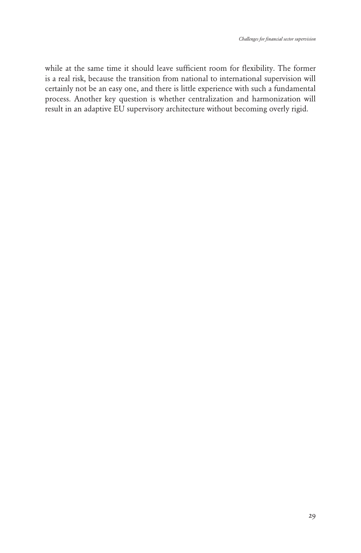while at the same time it should leave sufficient room for flexibility. The former is a real risk, because the transition from national to international supervision will certainly not be an easy one, and there is little experience with such a fundamental process. Another key question is whether centralization and harmonization will result in an adaptive EU supervisory architecture without becoming overly rigid.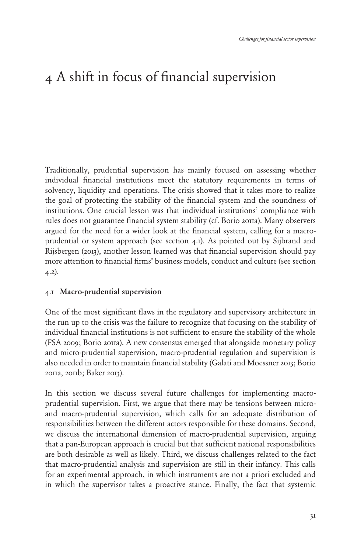# <span id="page-27-0"></span>4 A shift in focus of financial supervision

Traditionally, prudential supervision has mainly focused on assessing whether individual financial institutions meet the statutory requirements in terms of solvency, liquidity and operations. The crisis showed that it takes more to realize the goal of protecting the stability of the financial system and the soundness of institutions. One crucial lesson was that individual institutions' compliance with rules does not guarantee financial system stability (cf. Borio 2011a). Many observers argued for the need for a wider look at the financial system, calling for a macroprudential or system approach (see section 4.1). As pointed out by Sijbrand and Rijsbergen (2013), another lesson learned was that financial supervision should pay more attention to financial firms' business models, conduct and culture (see section 4.2).

#### 4.1 Macro-prudential supervision

One of the most significant flaws in the regulatory and supervisory architecture in the run up to the crisis was the failure to recognize that focusing on the stability of individual financial institutions is not sufficient to ensure the stability of the whole (FSA 2009; Borio 2011a). A new consensus emerged that alongside monetary policy and micro-prudential supervision, macro-prudential regulation and supervision is also needed in order to maintain financial stability (Galati and Moessner 2013; Borio 2011a, 2011b; Baker 2013).

In this section we discuss several future challenges for implementing macroprudential supervision. First, we argue that there may be tensions between microand macro-prudential supervision, which calls for an adequate distribution of responsibilities between the different actors responsible for these domains. Second, we discuss the international dimension of macro-prudential supervision, arguing that a pan-European approach is crucial but that sufficient national responsibilities are both desirable as well as likely. Third, we discuss challenges related to the fact that macro-prudential analysis and supervision are still in their infancy. This calls for an experimental approach, in which instruments are not a priori excluded and in which the supervisor takes a proactive stance. Finally, the fact that systemic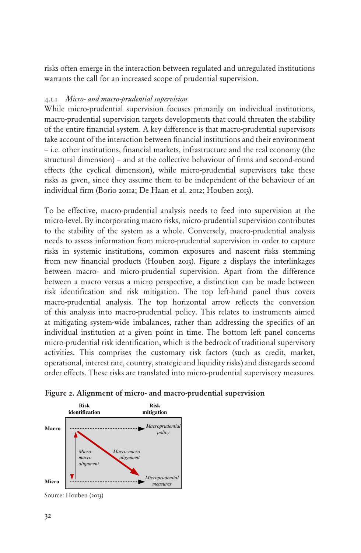risks often emerge in the interaction between regulated and unregulated institutions warrants the call for an increased scope of prudential supervision.

#### 4.1.1 *Micro- and macro-prudential supervision*

While micro-prudential supervision focuses primarily on individual institutions, macro-prudential supervision targets developments that could threaten the stability of the entire financial system. A key difference is that macro-prudential supervisors take account of the interaction between financial institutions and their environment – i.e. other institutions, financial markets, infrastructure and the real economy (the structural dimension) – and at the collective behaviour of firms and second-round effects (the cyclical dimension), while micro-prudential supervisors take these risks as given, since they assume them to be independent of the behaviour of an individual firm (Borio 2011a; De Haan et al. 2012; Houben 2013).

To be effective, macro-prudential analysis needs to feed into supervision at the micro-level. By incorporating macro risks, micro-prudential supervision contributes to the stability of the system as a whole. Conversely, macro-prudential analysis needs to assess information from micro-prudential supervision in order to capture risks in systemic institutions, common exposures and nascent risks stemming from new financial products (Houben 2013). Figure 2 displays the interlinkages between macro- and micro-prudential supervision. Apart from the difference between a macro versus a micro perspective, a distinction can be made between risk identification and risk mitigation. The top left-hand panel thus covers macro-prudential analysis. The top horizontal arrow reflects the conversion of this analysis into macro-prudential policy. This relates to instruments aimed at mitigating system-wide imbalances, rather than addressing the specifics of an individual institution at a given point in time. The bottom left panel concerns micro-prudential risk identification, which is the bedrock of traditional supervisory activities. This comprises the customary risk factors (such as credit, market, operational, interest rate, country, strategic and liquidity risks) and disregards second order effects. These risks are translated into micro-prudential supervisory measures.





Source: Houben (2013)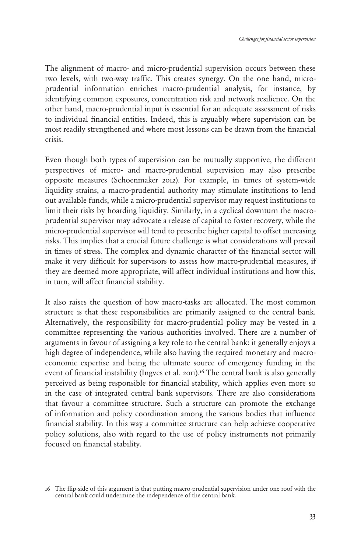The alignment of macro- and micro-prudential supervision occurs between these two levels, with two-way traffic. This creates synergy. On the one hand, microprudential information enriches macro-prudential analysis, for instance, by identifying common exposures, concentration risk and network resilience. On the other hand, macro-prudential input is essential for an adequate assessment of risks to individual financial entities. Indeed, this is arguably where supervision can be most readily strengthened and where most lessons can be drawn from the financial crisis.

Even though both types of supervision can be mutually supportive, the different perspectives of micro- and macro-prudential supervision may also prescribe opposite measures (Schoenmaker 2012). For example, in times of system-wide liquidity strains, a macro-prudential authority may stimulate institutions to lend out available funds, while a micro-prudential supervisor may request institutions to limit their risks by hoarding liquidity. Similarly, in a cyclical downturn the macroprudential supervisor may advocate a release of capital to foster recovery, while the micro-prudential supervisor will tend to prescribe higher capital to offset increasing risks. This implies that a crucial future challenge is what considerations will prevail in times of stress. The complex and dynamic character of the financial sector will make it very difficult for supervisors to assess how macro-prudential measures, if they are deemed more appropriate, will affect individual institutions and how this, in turn, will affect financial stability.

It also raises the question of how macro-tasks are allocated. The most common structure is that these responsibilities are primarily assigned to the central bank. Alternatively, the responsibility for macro-prudential policy may be vested in a committee representing the various authorities involved. There are a number of arguments in favour of assigning a key role to the central bank: it generally enjoys a high degree of independence, while also having the required monetary and macroeconomic expertise and being the ultimate source of emergency funding in the event of financial instability (Ingves et al. 2011).<sup>16</sup> The central bank is also generally perceived as being responsible for financial stability, which applies even more so in the case of integrated central bank supervisors. There are also considerations that favour a committee structure. Such a structure can promote the exchange of information and policy coordination among the various bodies that influence financial stability. In this way a committee structure can help achieve cooperative policy solutions, also with regard to the use of policy instruments not primarily focused on financial stability.

<sup>16</sup> The flip-side of this argument is that putting macro-prudential supervision under one roof with the central bank could undermine the independence of the central bank.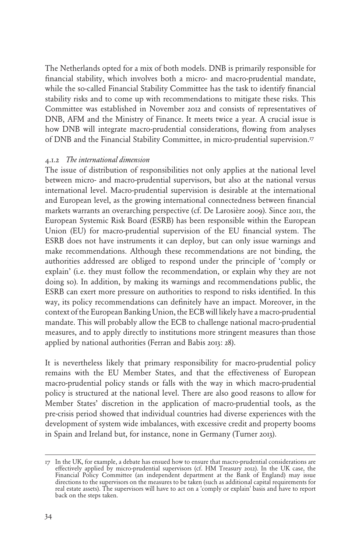The Netherlands opted for a mix of both models. DNB is primarily responsible for financial stability, which involves both a micro- and macro-prudential mandate, while the so-called Financial Stability Committee has the task to identify financial stability risks and to come up with recommendations to mitigate these risks. This Committee was established in November 2012 and consists of representatives of DNB, AFM and the Ministry of Finance. It meets twice a year. A crucial issue is how DNB will integrate macro-prudential considerations, flowing from analyses of DNB and the Financial Stability Committee, in micro-prudential supervision.17

#### 4.1.2 *The international dimension*

The issue of distribution of responsibilities not only applies at the national level between micro- and macro-prudential supervisors, but also at the national versus international level. Macro-prudential supervision is desirable at the international and European level, as the growing international connectedness between financial markets warrants an overarching perspective (cf. De Larosière 2009). Since 2011, the European Systemic Risk Board (ESRB) has been responsible within the European Union (EU) for macro-prudential supervision of the EU financial system. The ESRB does not have instruments it can deploy, but can only issue warnings and make recommendations. Although these recommendations are not binding, the authorities addressed are obliged to respond under the principle of 'comply or explain' (i.e. they must follow the recommendation, or explain why they are not doing so). In addition, by making its warnings and recommendations public, the ESRB can exert more pressure on authorities to respond to risks identified. In this way, its policy recommendations can definitely have an impact. Moreover, in the context of the European Banking Union, the ECB will likely have a macro-prudential mandate. This will probably allow the ECB to challenge national macro-prudential measures, and to apply directly to institutions more stringent measures than those applied by national authorities (Ferran and Babis 2013: 28).

It is nevertheless likely that primary responsibility for macro-prudential policy remains with the EU Member States, and that the effectiveness of European macro-prudential policy stands or falls with the way in which macro-prudential policy is structured at the national level. There are also good reasons to allow for Member States' discretion in the application of macro-prudential tools, as the pre-crisis period showed that individual countries had diverse experiences with the development of system wide imbalances, with excessive credit and property booms in Spain and Ireland but, for instance, none in Germany (Turner 2013).

<sup>17</sup> In the UK, for example, a debate has ensued how to ensure that macro-prudential considerations are effectively applied by micro-prudential supervisors (cf. HM Treasury 2012). In the UK case, the Financial Policy Committee (an independent department at the Bank of England) may issue directions to the supervisors on the measures to be taken (such as additional capital requirements for real estate assets). The supervisors will have to act on a 'comply or explain' basis and have to report back on the steps taken.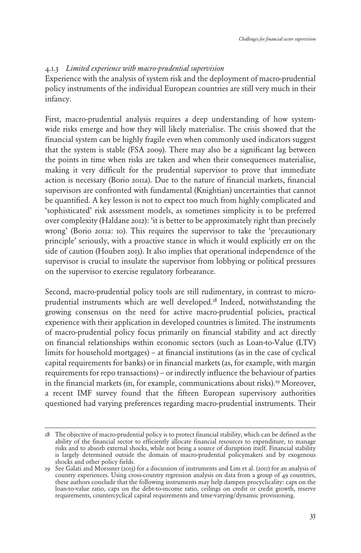#### 4.1.3 *Limited experience with macro-prudential supervision*

Experience with the analysis of system risk and the deployment of macro-prudential policy instruments of the individual European countries are still very much in their infancy.

First, macro-prudential analysis requires a deep understanding of how systemwide risks emerge and how they will likely materialise. The crisis showed that the financial system can be highly fragile even when commonly used indicators suggest that the system is stable (FSA 2009). There may also be a significant lag between the points in time when risks are taken and when their consequences materialise, making it very difficult for the prudential supervisor to prove that immediate action is necessary (Borio 2011a). Due to the nature of financial markets, financial supervisors are confronted with fundamental (Knightian) uncertainties that cannot be quantified. A key lesson is not to expect too much from highly complicated and 'sophisticated' risk assessment models, as sometimes simplicity is to be preferred over complexity (Haldane 2012): 'it is better to be approximately right than precisely wrong' (Borio 2011a: 10). This requires the supervisor to take the 'precautionary principle' seriously, with a proactive stance in which it would explicitly err on the side of caution (Houben 2013). It also implies that operational independence of the supervisor is crucial to insulate the supervisor from lobbying or political pressures on the supervisor to exercise regulatory forbearance.

Second, macro-prudential policy tools are still rudimentary, in contrast to microprudential instruments which are well developed.<sup>18</sup> Indeed, notwithstanding the growing consensus on the need for active macro-prudential policies, practical experience with their application in developed countries is limited. The instruments of macro-prudential policy focus primarily on financial stability and act directly on financial relationships within economic sectors (such as Loan-to-Value (LTV) limits for household mortgages) – at financial institutions (as in the case of cyclical capital requirements for banks) or in financial markets (as, for example, with margin requirements for repo transactions) – or indirectly influence the behaviour of parties in the financial markets (in, for example, communications about risks).<sup>19</sup> Moreover, a recent IMF survey found that the fifteen European supervisory authorities questioned had varying preferences regarding macro-prudential instruments. Their

<sup>18</sup> The objective of macro-prudential policy is to protect financial stability, which can be defined as the ability of the financial sector to efficiently allocate financial resources to expenditure, to manage risks and to absorb external shocks, while not being a source of disruption itself. Financial stability is largely determined outside the domain of macro-prudential policymakers and by exogenous shocks and other policy fields.

<sup>19</sup> See Galati and Moessner (2013) for a discussion of instruments and Lim et al. (2011) for an analysis of country experiences. Using cross-country regression analysis on data from a group of 49 countries, these authors conclude that the following instruments may help dampen procyclicality: caps on the loan-to-value ratio, caps on the debt-to-income ratio, ceilings on credit or credit growth, reserve requirements, countercyclical capital requirements and time-varying/dynamic provisioning.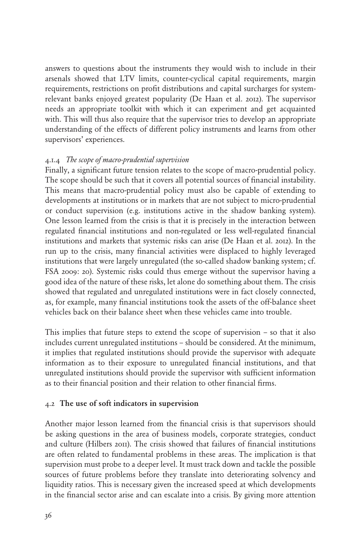answers to questions about the instruments they would wish to include in their arsenals showed that LTV limits, counter-cyclical capital requirements, margin requirements, restrictions on profit distributions and capital surcharges for systemrelevant banks enjoyed greatest popularity (De Haan et al. 2012). The supervisor needs an appropriate toolkit with which it can experiment and get acquainted with. This will thus also require that the supervisor tries to develop an appropriate understanding of the effects of different policy instruments and learns from other supervisors' experiences.

#### 4.1.4 *The scope of macro-prudential supervision*

Finally, a significant future tension relates to the scope of macro-prudential policy. The scope should be such that it covers all potential sources of financial instability. This means that macro-prudential policy must also be capable of extending to developments at institutions or in markets that are not subject to micro-prudential or conduct supervision (e.g. institutions active in the shadow banking system). One lesson learned from the crisis is that it is precisely in the interaction between regulated financial institutions and non-regulated or less well-regulated financial institutions and markets that systemic risks can arise (De Haan et al. 2012). In the run up to the crisis, many financial activities were displaced to highly leveraged institutions that were largely unregulated (the so-called shadow banking system; cf. FSA 2009: 20). Systemic risks could thus emerge without the supervisor having a good idea of the nature of these risks, let alone do something about them. The crisis showed that regulated and unregulated institutions were in fact closely connected, as, for example, many financial institutions took the assets of the off-balance sheet vehicles back on their balance sheet when these vehicles came into trouble.

This implies that future steps to extend the scope of supervision – so that it also includes current unregulated institutions – should be considered. At the minimum, it implies that regulated institutions should provide the supervisor with adequate information as to their exposure to unregulated financial institutions, and that unregulated institutions should provide the supervisor with sufficient information as to their financial position and their relation to other financial firms.

#### 4.2 The use of soft indicators in supervision

Another major lesson learned from the financial crisis is that supervisors should be asking questions in the area of business models, corporate strategies, conduct and culture (Hilbers 2011). The crisis showed that failures of financial institutions are often related to fundamental problems in these areas. The implication is that supervision must probe to a deeper level. It must track down and tackle the possible sources of future problems before they translate into deteriorating solvency and liquidity ratios. This is necessary given the increased speed at which developments in the financial sector arise and can escalate into a crisis. By giving more attention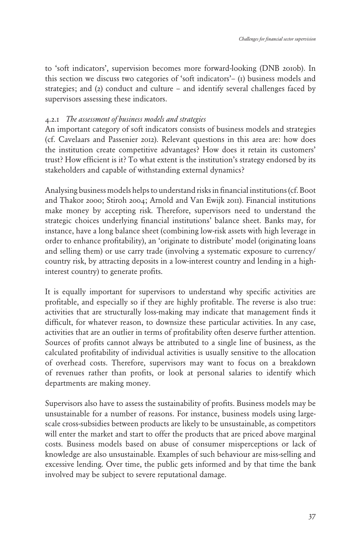to 'soft indicators', supervision becomes more forward-looking (DNB 2010b). In this section we discuss two categories of 'soft indicators'– (1) business models and strategies; and (2) conduct and culture – and identify several challenges faced by supervisors assessing these indicators.

#### 4.2.1 *The assessment of business models and strategies*

An important category of soft indicators consists of business models and strategies (cf. Cavelaars and Passenier 2012). Relevant questions in this area are: how does the institution create competitive advantages? How does it retain its customers' trust? How efficient is it? To what extent is the institution's strategy endorsed by its stakeholders and capable of withstanding external dynamics?

Analysing business models helps to understand risks in financial institutions (cf. Boot and Thakor 2000; Stiroh 2004; Arnold and Van Ewijk 2011). Financial institutions make money by accepting risk. Therefore, supervisors need to understand the strategic choices underlying financial institutions' balance sheet. Banks may, for instance, have a long balance sheet (combining low-risk assets with high leverage in order to enhance profitability), an 'originate to distribute' model (originating loans and selling them) or use carry trade (involving a systematic exposure to currency/ country risk, by attracting deposits in a low-interest country and lending in a highinterest country) to generate profits.

It is equally important for supervisors to understand why specific activities are profitable, and especially so if they are highly profitable. The reverse is also true: activities that are structurally loss-making may indicate that management finds it difficult, for whatever reason, to downsize these particular activities. In any case, activities that are an outlier in terms of profitability often deserve further attention. Sources of profits cannot always be attributed to a single line of business, as the calculated profitability of individual activities is usually sensitive to the allocation of overhead costs. Therefore, supervisors may want to focus on a breakdown of revenues rather than profits, or look at personal salaries to identify which departments are making money.

Supervisors also have to assess the sustainability of profits. Business models may be unsustainable for a number of reasons. For instance, business models using largescale cross-subsidies between products are likely to be unsustainable, as competitors will enter the market and start to offer the products that are priced above marginal costs. Business models based on abuse of consumer misperceptions or lack of knowledge are also unsustainable. Examples of such behaviour are miss-selling and excessive lending. Over time, the public gets informed and by that time the bank involved may be subject to severe reputational damage.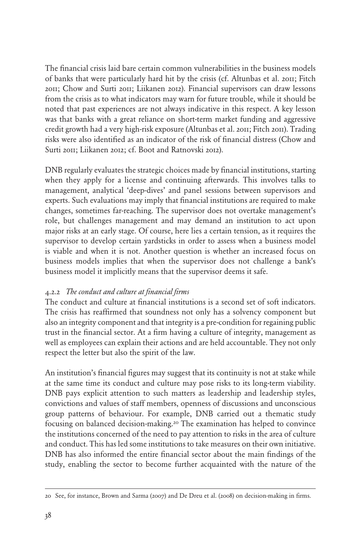The financial crisis laid bare certain common vulnerabilities in the business models of banks that were particularly hard hit by the crisis (cf. Altunbas et al. 2011; Fitch 2011; Chow and Surti 2011; Liikanen 2012). Financial supervisors can draw lessons from the crisis as to what indicators may warn for future trouble, while it should be noted that past experiences are not always indicative in this respect. A key lesson was that banks with a great reliance on short-term market funding and aggressive credit growth had a very high-risk exposure (Altunbas et al. 2011; Fitch 2011). Trading risks were also identified as an indicator of the risk of financial distress (Chow and Surti 2011; Liikanen 2012; cf. Boot and Ratnovski 2012).

DNB regularly evaluates the strategic choices made by financial institutions, starting when they apply for a license and continuing afterwards. This involves talks to management, analytical 'deep-dives' and panel sessions between supervisors and experts. Such evaluations may imply that financial institutions are required to make changes, sometimes far-reaching. The supervisor does not overtake management's role, but challenges management and may demand an institution to act upon major risks at an early stage. Of course, here lies a certain tension, as it requires the supervisor to develop certain yardsticks in order to assess when a business model is viable and when it is not. Another question is whether an increased focus on business models implies that when the supervisor does not challenge a bank's business model it implicitly means that the supervisor deems it safe.

#### 4.2.2 *The conduct and culture at financial firms*

The conduct and culture at financial institutions is a second set of soft indicators. The crisis has reaffirmed that soundness not only has a solvency component but also an integrity component and that integrity is a pre-condition for regaining public trust in the financial sector. At a firm having a culture of integrity, management as well as employees can explain their actions and are held accountable. They not only respect the letter but also the spirit of the law.

An institution's financial figures may suggest that its continuity is not at stake while at the same time its conduct and culture may pose risks to its long-term viability. DNB pays explicit attention to such matters as leadership and leadership styles, convictions and values of staff members, openness of discussions and unconscious group patterns of behaviour. For example, DNB carried out a thematic study focusing on balanced decision-making.20 The examination has helped to convince the institutions concerned of the need to pay attention to risks in the area of culture and conduct. This has led some institutions to take measures on their own initiative. DNB has also informed the entire financial sector about the main findings of the study, enabling the sector to become further acquainted with the nature of the

<sup>20</sup> See, for instance, Brown and Sarma (2007) and De Dreu et al. (2008) on decision-making in firms.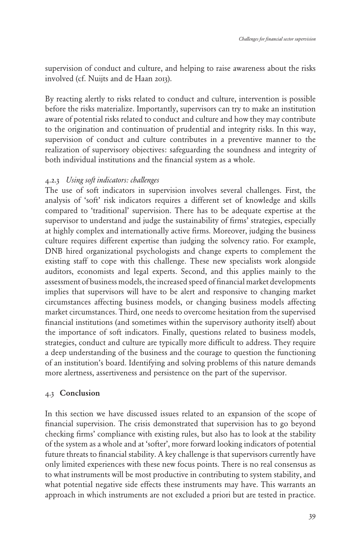supervision of conduct and culture, and helping to raise awareness about the risks involved (cf. Nuijts and de Haan 2013).

By reacting alertly to risks related to conduct and culture, intervention is possible before the risks materialize. Importantly, supervisors can try to make an institution aware of potential risks related to conduct and culture and how they may contribute to the origination and continuation of prudential and integrity risks. In this way, supervision of conduct and culture contributes in a preventive manner to the realization of supervisory objectives: safeguarding the soundness and integrity of both individual institutions and the financial system as a whole.

#### 4.2.3 *Using soft indicators: challenges*

The use of soft indicators in supervision involves several challenges. First, the analysis of 'soft' risk indicators requires a different set of knowledge and skills compared to 'traditional' supervision. There has to be adequate expertise at the supervisor to understand and judge the sustainability of firms' strategies, especially at highly complex and internationally active firms. Moreover, judging the business culture requires different expertise than judging the solvency ratio. For example, DNB hired organizational psychologists and change experts to complement the existing staff to cope with this challenge. These new specialists work alongside auditors, economists and legal experts. Second, and this applies mainly to the assessment of business models, the increased speed of financial market developments implies that supervisors will have to be alert and responsive to changing market circumstances affecting business models, or changing business models affecting market circumstances. Third, one needs to overcome hesitation from the supervised financial institutions (and sometimes within the supervisory authority itself) about the importance of soft indicators. Finally, questions related to business models, strategies, conduct and culture are typically more difficult to address. They require a deep understanding of the business and the courage to question the functioning of an institution's board. Identifying and solving problems of this nature demands more alertness, assertiveness and persistence on the part of the supervisor.

#### 4.3 Conclusion

In this section we have discussed issues related to an expansion of the scope of financial supervision. The crisis demonstrated that supervision has to go beyond checking firms' compliance with existing rules, but also has to look at the stability of the system as a whole and at 'softer', more forward looking indicators of potential future threats to financial stability. A key challenge is that supervisors currently have only limited experiences with these new focus points. There is no real consensus as to what instruments will be most productive in contributing to system stability, and what potential negative side effects these instruments may have. This warrants an approach in which instruments are not excluded a priori but are tested in practice.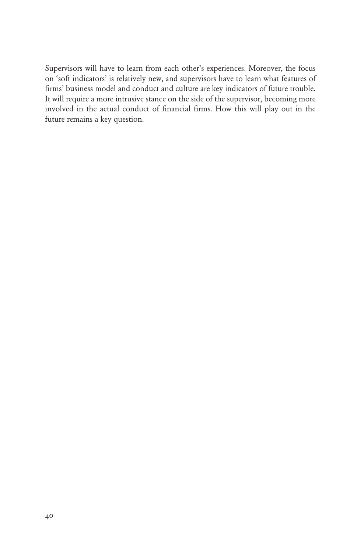Supervisors will have to learn from each other's experiences. Moreover, the focus on 'soft indicators' is relatively new, and supervisors have to learn what features of firms' business model and conduct and culture are key indicators of future trouble. It will require a more intrusive stance on the side of the supervisor, becoming more involved in the actual conduct of financial firms. How this will play out in the future remains a key question.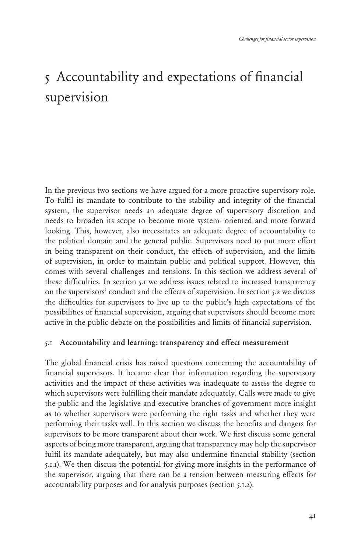# <span id="page-37-0"></span>5 Accountability and expectations of financial supervision

In the previous two sections we have argued for a more proactive supervisory role. To fulfil its mandate to contribute to the stability and integrity of the financial system, the supervisor needs an adequate degree of supervisory discretion and needs to broaden its scope to become more system- oriented and more forward looking. This, however, also necessitates an adequate degree of accountability to the political domain and the general public. Supervisors need to put more effort in being transparent on their conduct, the effects of supervision, and the limits of supervision, in order to maintain public and political support. However, this comes with several challenges and tensions. In this section we address several of these difficulties. In section 5.1 we address issues related to increased transparency on the supervisors' conduct and the effects of supervision. In section 5.2 we discuss the difficulties for supervisors to live up to the public's high expectations of the possibilities of financial supervision, arguing that supervisors should become more active in the public debate on the possibilities and limits of financial supervision.

#### 5.1 Accountability and learning: transparency and effect measurement

The global financial crisis has raised questions concerning the accountability of financial supervisors. It became clear that information regarding the supervisory activities and the impact of these activities was inadequate to assess the degree to which supervisors were fulfilling their mandate adequately. Calls were made to give the public and the legislative and executive branches of government more insight as to whether supervisors were performing the right tasks and whether they were performing their tasks well. In this section we discuss the benefits and dangers for supervisors to be more transparent about their work. We first discuss some general aspects of being more transparent, arguing that transparency may help the supervisor fulfil its mandate adequately, but may also undermine financial stability (section 5.1.1). We then discuss the potential for giving more insights in the performance of the supervisor, arguing that there can be a tension between measuring effects for accountability purposes and for analysis purposes (section 5.1.2).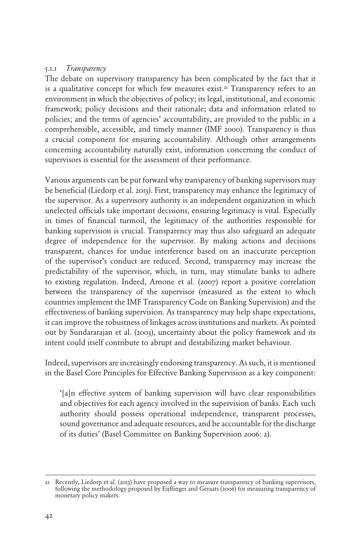#### 5.1.1 *Transparency*

The debate on supervisory transparency has been complicated by the fact that it is a qualitative concept for which few measures exist.<sup>21</sup> Transparency refers to an environment in which the objectives of policy; its legal, institutional, and economic framework; policy decisions and their rationale; data and information related to policies; and the terms of agencies' accountability, are provided to the public in a comprehensible, accessible, and timely manner (IMF 2000). Transparency is thus a crucial component for ensuring accountability. Although other arrangements concerning accountability naturally exist, information concerning the conduct of supervisors is essential for the assessment of their performance.

Various arguments can be put forward why transparency of banking supervisors may be beneficial (Liedorp et al. 2013). First, transparency may enhance the legitimacy of the supervisor. As a supervisory authority is an independent organization in which unelected officials take important decisions, ensuring legitimacy is vital. Especially in times of financial turmoil, the legitimacy of the authorities responsible for banking supervision is crucial. Transparency may thus also safeguard an adequate degree of independence for the supervisor. By making actions and decisions transparent, chances for undue interference based on an inaccurate perception of the supervisor's conduct are reduced. Second, transparency may increase the predictability of the supervisor, which, in turn, may stimulate banks to adhere to existing regulation. Indeed, Arnone et al. (2007) report a positive correlation between the transparency of the supervisor (measured as the extent to which countries implement the IMF Transparency Code on Banking Supervision) and the effectiveness of banking supervision. As transparency may help shape expectations, it can improve the robustness of linkages across institutions and markets. As pointed out by Sundararajan et al. (2003), uncertainty about the policy framework and its intent could itself contribute to abrupt and destabilizing market behaviour.

Indeed, supervisors are increasingly endorsing transparency. As such, it is mentioned in the Basel Core Principles for Effective Banking Supervision as a key component:

'[a]n effective system of banking supervision will have clear responsibilities and objectives for each agency involved in the supervision of banks. Each such authority should possess operational independence, transparent processes, sound governance and adequate resources, and be accountable for the discharge of its duties' (Basel Committee on Banking Supervision 2006: 2).

<sup>21</sup> Recently, Liedorp et al. (2013) have proposed a way to measure transparency of banking supervisors, following the methodology proposed by Eijffinger and Geraats (2006) for measuring transparency of monetary policy makers.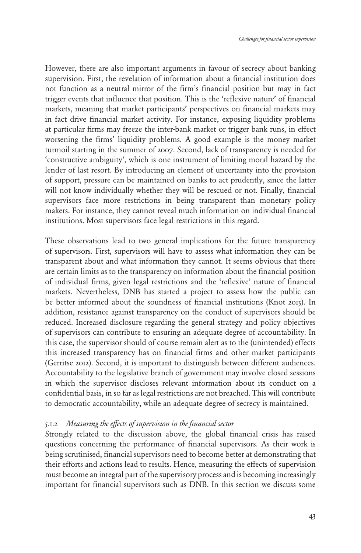However, there are also important arguments in favour of secrecy about banking supervision. First, the revelation of information about a financial institution does not function as a neutral mirror of the firm's financial position but may in fact trigger events that influence that position. This is the 'reflexive nature' of financial markets, meaning that market participants' perspectives on financial markets may in fact drive financial market activity. For instance, exposing liquidity problems at particular firms may freeze the inter-bank market or trigger bank runs, in effect worsening the firms' liquidity problems. A good example is the money market turmoil starting in the summer of 2007. Second, lack of transparency is needed for 'constructive ambiguity', which is one instrument of limiting moral hazard by the lender of last resort. By introducing an element of uncertainty into the provision of support, pressure can be maintained on banks to act prudently, since the latter will not know individually whether they will be rescued or not. Finally, financial supervisors face more restrictions in being transparent than monetary policy makers. For instance, they cannot reveal much information on individual financial institutions. Most supervisors face legal restrictions in this regard.

These observations lead to two general implications for the future transparency of supervisors. First, supervisors will have to assess what information they can be transparent about and what information they cannot. It seems obvious that there are certain limits as to the transparency on information about the financial position of individual firms, given legal restrictions and the 'reflexive' nature of financial markets. Nevertheless, DNB has started a project to assess how the public can be better informed about the soundness of financial institutions (Knot 2013). In addition, resistance against transparency on the conduct of supervisors should be reduced. Increased disclosure regarding the general strategy and policy objectives of supervisors can contribute to ensuring an adequate degree of accountability. In this case, the supervisor should of course remain alert as to the (unintended) effects this increased transparency has on financial firms and other market participants (Gerritse 2012). Second, it is important to distinguish between different audiences. Accountability to the legislative branch of government may involve closed sessions in which the supervisor discloses relevant information about its conduct on a confidential basis, in so far as legal restrictions are not breached. This will contribute to democratic accountability, while an adequate degree of secrecy is maintained.

#### 5.1.2 *Measuring the effects of supervision in the financial sector*

Strongly related to the discussion above, the global financial crisis has raised questions concerning the performance of financial supervisors. As their work is being scrutinised, financial supervisors need to become better at demonstrating that their efforts and actions lead to results. Hence, measuring the effects of supervision must become an integral part of the supervisory process and is becoming increasingly important for financial supervisors such as DNB. In this section we discuss some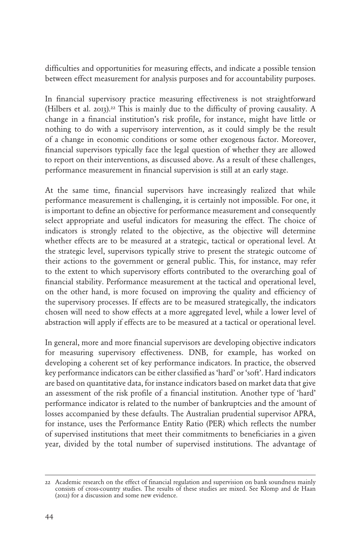difficulties and opportunities for measuring effects, and indicate a possible tension between effect measurement for analysis purposes and for accountability purposes.

In financial supervisory practice measuring effectiveness is not straightforward (Hilbers et al. 2013).22 This is mainly due to the difficulty of proving causality. A change in a financial institution's risk profile, for instance, might have little or nothing to do with a supervisory intervention, as it could simply be the result of a change in economic conditions or some other exogenous factor. Moreover, financial supervisors typically face the legal question of whether they are allowed to report on their interventions, as discussed above. As a result of these challenges, performance measurement in financial supervision is still at an early stage.

At the same time, financial supervisors have increasingly realized that while performance measurement is challenging, it is certainly not impossible. For one, it is important to define an objective for performance measurement and consequently select appropriate and useful indicators for measuring the effect. The choice of indicators is strongly related to the objective, as the objective will determine whether effects are to be measured at a strategic, tactical or operational level. At the strategic level, supervisors typically strive to present the strategic outcome of their actions to the government or general public. This, for instance, may refer to the extent to which supervisory efforts contributed to the overarching goal of financial stability. Performance measurement at the tactical and operational level, on the other hand, is more focused on improving the quality and efficiency of the supervisory processes. If effects are to be measured strategically, the indicators chosen will need to show effects at a more aggregated level, while a lower level of abstraction will apply if effects are to be measured at a tactical or operational level.

In general, more and more financial supervisors are developing objective indicators for measuring supervisory effectiveness. DNB, for example, has worked on developing a coherent set of key performance indicators. In practice, the observed key performance indicators can be either classified as 'hard' or 'soft'. Hard indicators are based on quantitative data, for instance indicators based on market data that give an assessment of the risk profile of a financial institution. Another type of 'hard' performance indicator is related to the number of bankruptcies and the amount of losses accompanied by these defaults. The Australian prudential supervisor APRA, for instance, uses the Performance Entity Ratio (PER) which reflects the number of supervised institutions that meet their commitments to beneficiaries in a given year, divided by the total number of supervised institutions. The advantage of

<sup>22</sup> Academic research on the effect of financial regulation and supervision on bank soundness mainly consists of cross-country studies. The results of these studies are mixed. See Klomp and de Haan (2012) for a discussion and some new evidence.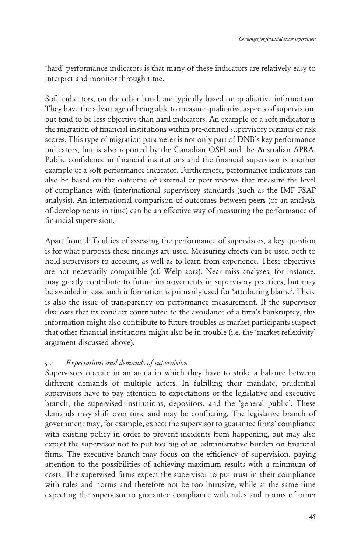'hard' performance indicators is that many of these indicators are relatively easy to interpret and monitor through time.

Soft indicators, on the other hand, are typically based on qualitative information. They have the advantage of being able to measure qualitative aspects of supervision, but tend to be less objective than hard indicators. An example of a soft indicator is the migration of financial institutions within pre-defined supervisory regimes or risk scores. This type of migration parameter is not only part of DNB's key performance indicators, but is also reported by the Canadian OSFI and the Australian APRA. Public confidence in financial institutions and the financial supervisor is another example of a soft performance indicator. Furthermore, performance indicators can also be based on the outcome of external or peer reviews that measure the level of compliance with (inter)national supervisory standards (such as the IMF FSAP analysis). An international comparison of outcomes between peers (or an analysis of developments in time) can be an effective way of measuring the performance of financial supervision.

Apart from difficulties of assessing the performance of supervisors, a key question is for what purposes these findings are used. Measuring effects can be used both to hold supervisors to account, as well as to learn from experience. These objectives are not necessarily compatible (cf. Welp 2012). Near miss analyses, for instance, may greatly contribute to future improvements in supervisory practices, but may be avoided in case such information is primarily used for 'attributing blame'. There is also the issue of transparency on performance measurement. If the supervisor discloses that its conduct contributed to the avoidance of a firm's bankruptcy, this information might also contribute to future troubles as market participants suspect that other financial institutions might also be in trouble (i.e. the 'market reflexivity' argument discussed above).

#### 5.2 *Expectations and demands of supervision*

Supervisors operate in an arena in which they have to strike a balance between different demands of multiple actors. In fulfilling their mandate, prudential supervisors have to pay attention to expectations of the legislative and executive branch, the supervised institutions, depositors, and the 'general public'. These demands may shift over time and may be conflicting. The legislative branch of government may, for example, expect the supervisor to guarantee firms' compliance with existing policy in order to prevent incidents from happening, but may also expect the supervisor not to put too big of an administrative burden on financial firms. The executive branch may focus on the efficiency of supervision, paying attention to the possibilities of achieving maximum results with a minimum of costs. The supervised firms expect the supervisor to put trust in their compliance with rules and norms and therefore not be too intrusive, while at the same time expecting the supervisor to guarantee compliance with rules and norms of other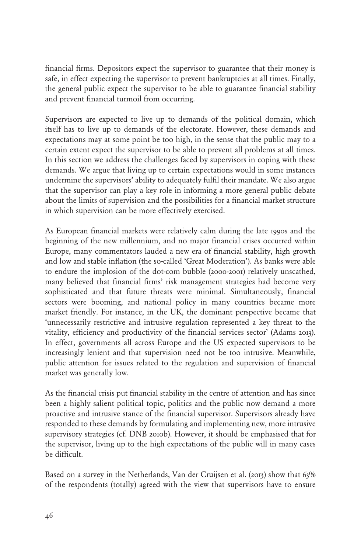financial firms. Depositors expect the supervisor to guarantee that their money is safe, in effect expecting the supervisor to prevent bankruptcies at all times. Finally, the general public expect the supervisor to be able to guarantee financial stability and prevent financial turmoil from occurring.

Supervisors are expected to live up to demands of the political domain, which itself has to live up to demands of the electorate. However, these demands and expectations may at some point be too high, in the sense that the public may to a certain extent expect the supervisor to be able to prevent all problems at all times. In this section we address the challenges faced by supervisors in coping with these demands. We argue that living up to certain expectations would in some instances undermine the supervisors' ability to adequately fulfil their mandate. We also argue that the supervisor can play a key role in informing a more general public debate about the limits of supervision and the possibilities for a financial market structure in which supervision can be more effectively exercised.

As European financial markets were relatively calm during the late 1990s and the beginning of the new millennium, and no major financial crises occurred within Europe, many commentators lauded a new era of financial stability, high growth and low and stable inflation (the so-called 'Great Moderation'). As banks were able to endure the implosion of the dot-com bubble (2000-2001) relatively unscathed, many believed that financial firms' risk management strategies had become very sophisticated and that future threats were minimal. Simultaneously, financial sectors were booming, and national policy in many countries became more market friendly. For instance, in the UK, the dominant perspective became that 'unnecessarily restrictive and intrusive regulation represented a key threat to the vitality, efficiency and productivity of the financial services sector' (Adams 2013). In effect, governments all across Europe and the US expected supervisors to be increasingly lenient and that supervision need not be too intrusive. Meanwhile, public attention for issues related to the regulation and supervision of financial market was generally low.

As the financial crisis put financial stability in the centre of attention and has since been a highly salient political topic, politics and the public now demand a more proactive and intrusive stance of the financial supervisor. Supervisors already have responded to these demands by formulating and implementing new, more intrusive supervisory strategies (cf. DNB 2010b). However, it should be emphasised that for the supervisor, living up to the high expectations of the public will in many cases be difficult.

Based on a survey in the Netherlands, Van der Cruijsen et al. (2013) show that 63% of the respondents (totally) agreed with the view that supervisors have to ensure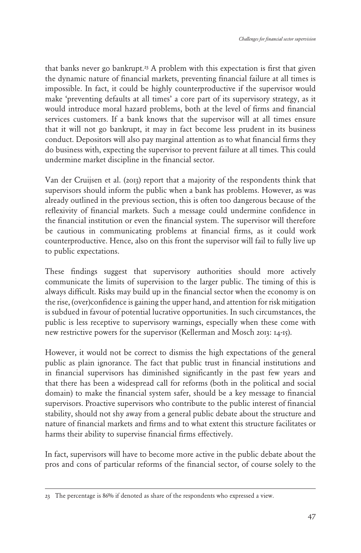that banks never go bankrupt.<sup>23</sup> A problem with this expectation is first that given the dynamic nature of financial markets, preventing financial failure at all times is impossible. In fact, it could be highly counterproductive if the supervisor would make 'preventing defaults at all times' a core part of its supervisory strategy, as it would introduce moral hazard problems, both at the level of firms and financial services customers. If a bank knows that the supervisor will at all times ensure that it will not go bankrupt, it may in fact become less prudent in its business conduct. Depositors will also pay marginal attention as to what financial firms they do business with, expecting the supervisor to prevent failure at all times. This could undermine market discipline in the financial sector.

Van der Cruijsen et al. (2013) report that a majority of the respondents think that supervisors should inform the public when a bank has problems. However, as was already outlined in the previous section, this is often too dangerous because of the reflexivity of financial markets. Such a message could undermine confidence in the financial institution or even the financial system. The supervisor will therefore be cautious in communicating problems at financial firms, as it could work counterproductive. Hence, also on this front the supervisor will fail to fully live up to public expectations.

These findings suggest that supervisory authorities should more actively communicate the limits of supervision to the larger public. The timing of this is always difficult. Risks may build up in the financial sector when the economy is on the rise, (over)confidence is gaining the upper hand, and attention for risk mitigation is subdued in favour of potential lucrative opportunities. In such circumstances, the public is less receptive to supervisory warnings, especially when these come with new restrictive powers for the supervisor (Kellerman and Mosch 2013: 14-15).

However, it would not be correct to dismiss the high expectations of the general public as plain ignorance. The fact that public trust in financial institutions and in financial supervisors has diminished significantly in the past few years and that there has been a widespread call for reforms (both in the political and social domain) to make the financial system safer, should be a key message to financial supervisors. Proactive supervisors who contribute to the public interest of financial stability, should not shy away from a general public debate about the structure and nature of financial markets and firms and to what extent this structure facilitates or harms their ability to supervise financial firms effectively.

In fact, supervisors will have to become more active in the public debate about the pros and cons of particular reforms of the financial sector, of course solely to the

<sup>23</sup> The percentage is 86% if denoted as share of the respondents who expressed a view.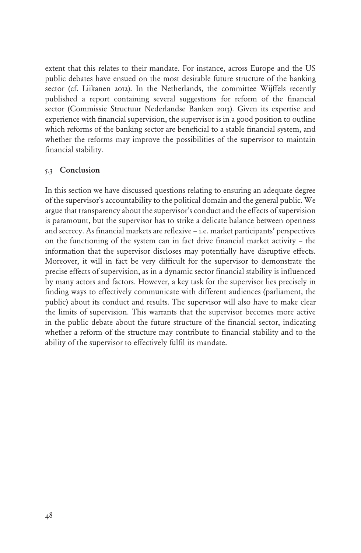extent that this relates to their mandate. For instance, across Europe and the US public debates have ensued on the most desirable future structure of the banking sector (cf. Liikanen 2012). In the Netherlands, the committee Wijffels recently published a report containing several suggestions for reform of the financial sector (Commissie Structuur Nederlandse Banken 2013). Given its expertise and experience with financial supervision, the supervisor is in a good position to outline which reforms of the banking sector are beneficial to a stable financial system, and whether the reforms may improve the possibilities of the supervisor to maintain financial stability.

#### 5.3 Conclusion

In this section we have discussed questions relating to ensuring an adequate degree of the supervisor's accountability to the political domain and the general public. We argue that transparency about the supervisor's conduct and the effects of supervision is paramount, but the supervisor has to strike a delicate balance between openness and secrecy. As financial markets are reflexive – i.e. market participants' perspectives on the functioning of the system can in fact drive financial market activity – the information that the supervisor discloses may potentially have disruptive effects. Moreover, it will in fact be very difficult for the supervisor to demonstrate the precise effects of supervision, as in a dynamic sector financial stability is influenced by many actors and factors. However, a key task for the supervisor lies precisely in finding ways to effectively communicate with different audiences (parliament, the public) about its conduct and results. The supervisor will also have to make clear the limits of supervision. This warrants that the supervisor becomes more active in the public debate about the future structure of the financial sector, indicating whether a reform of the structure may contribute to financial stability and to the ability of the supervisor to effectively fulfil its mandate.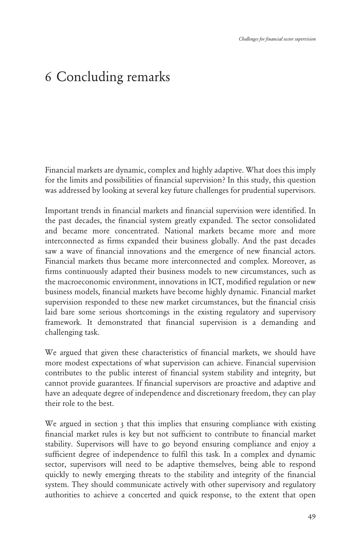# <span id="page-45-0"></span>6 Concluding remarks

Financial markets are dynamic, complex and highly adaptive. What does this imply for the limits and possibilities of financial supervision? In this study, this question was addressed by looking at several key future challenges for prudential supervisors.

Important trends in financial markets and financial supervision were identified. In the past decades, the financial system greatly expanded. The sector consolidated and became more concentrated. National markets became more and more interconnected as firms expanded their business globally. And the past decades saw a wave of financial innovations and the emergence of new financial actors. Financial markets thus became more interconnected and complex. Moreover, as firms continuously adapted their business models to new circumstances, such as the macroeconomic environment, innovations in ICT, modified regulation or new business models, financial markets have become highly dynamic. Financial market supervision responded to these new market circumstances, but the financial crisis laid bare some serious shortcomings in the existing regulatory and supervisory framework. It demonstrated that financial supervision is a demanding and challenging task.

We argued that given these characteristics of financial markets, we should have more modest expectations of what supervision can achieve. Financial supervision contributes to the public interest of financial system stability and integrity, but cannot provide guarantees. If financial supervisors are proactive and adaptive and have an adequate degree of independence and discretionary freedom, they can play their role to the best.

We argued in section 3 that this implies that ensuring compliance with existing financial market rules is key but not sufficient to contribute to financial market stability. Supervisors will have to go beyond ensuring compliance and enjoy a sufficient degree of independence to fulfil this task. In a complex and dynamic sector, supervisors will need to be adaptive themselves, being able to respond quickly to newly emerging threats to the stability and integrity of the financial system. They should communicate actively with other supervisory and regulatory authorities to achieve a concerted and quick response, to the extent that open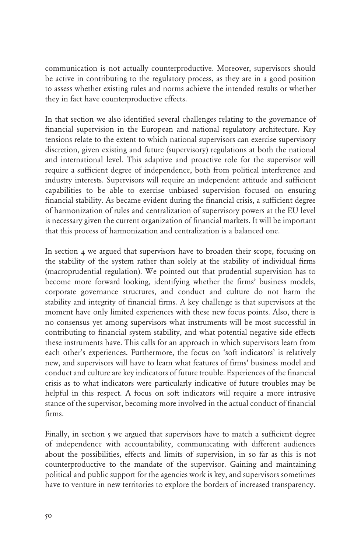communication is not actually counterproductive. Moreover, supervisors should be active in contributing to the regulatory process, as they are in a good position to assess whether existing rules and norms achieve the intended results or whether they in fact have counterproductive effects.

In that section we also identified several challenges relating to the governance of financial supervision in the European and national regulatory architecture. Key tensions relate to the extent to which national supervisors can exercise supervisory discretion, given existing and future (supervisory) regulations at both the national and international level. This adaptive and proactive role for the supervisor will require a sufficient degree of independence, both from political interference and industry interests. Supervisors will require an independent attitude and sufficient capabilities to be able to exercise unbiased supervision focused on ensuring financial stability. As became evident during the financial crisis, a sufficient degree of harmonization of rules and centralization of supervisory powers at the EU level is necessary given the current organization of financial markets. It will be important that this process of harmonization and centralization is a balanced one.

In section 4 we argued that supervisors have to broaden their scope, focusing on the stability of the system rather than solely at the stability of individual firms (macroprudential regulation). We pointed out that prudential supervision has to become more forward looking, identifying whether the firms' business models, corporate governance structures, and conduct and culture do not harm the stability and integrity of financial firms. A key challenge is that supervisors at the moment have only limited experiences with these new focus points. Also, there is no consensus yet among supervisors what instruments will be most successful in contributing to financial system stability, and what potential negative side effects these instruments have. This calls for an approach in which supervisors learn from each other's experiences. Furthermore, the focus on 'soft indicators' is relatively new, and supervisors will have to learn what features of firms' business model and conduct and culture are key indicators of future trouble. Experiences of the financial crisis as to what indicators were particularly indicative of future troubles may be helpful in this respect. A focus on soft indicators will require a more intrusive stance of the supervisor, becoming more involved in the actual conduct of financial firms.

Finally, in section 5 we argued that supervisors have to match a sufficient degree of independence with accountability, communicating with different audiences about the possibilities, effects and limits of supervision, in so far as this is not counterproductive to the mandate of the supervisor. Gaining and maintaining political and public support for the agencies work is key, and supervisors sometimes have to venture in new territories to explore the borders of increased transparency.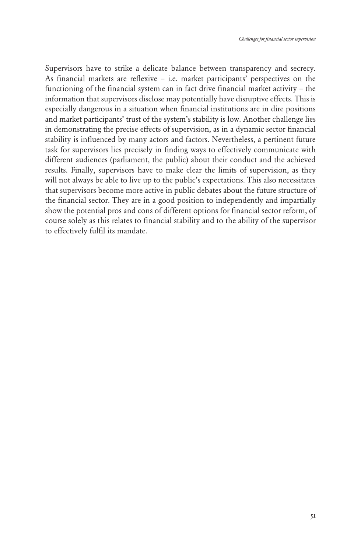Supervisors have to strike a delicate balance between transparency and secrecy. As financial markets are reflexive – i.e. market participants' perspectives on the functioning of the financial system can in fact drive financial market activity – the information that supervisors disclose may potentially have disruptive effects. This is especially dangerous in a situation when financial institutions are in dire positions and market participants' trust of the system's stability is low. Another challenge lies in demonstrating the precise effects of supervision, as in a dynamic sector financial stability is influenced by many actors and factors. Nevertheless, a pertinent future task for supervisors lies precisely in finding ways to effectively communicate with different audiences (parliament, the public) about their conduct and the achieved results. Finally, supervisors have to make clear the limits of supervision, as they will not always be able to live up to the public's expectations. This also necessitates that supervisors become more active in public debates about the future structure of the financial sector. They are in a good position to independently and impartially show the potential pros and cons of different options for financial sector reform, of course solely as this relates to financial stability and to the ability of the supervisor to effectively fulfil its mandate.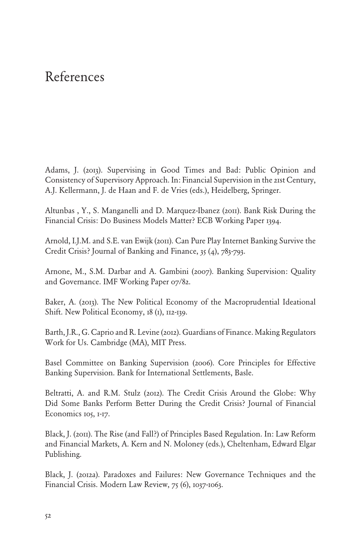## <span id="page-48-0"></span>References

Adams, J. (2013). Supervising in Good Times and Bad: Public Opinion and Consistency of Supervisory Approach. In: Financial Supervision in the 21st Century, A.J. Kellermann, J. de Haan and F. de Vries (eds.), Heidelberg, Springer.

Altunbas , Y., S. Manganelli and D. Marquez-Ibanez (2011). Bank Risk During the Financial Crisis: Do Business Models Matter? ECB Working Paper 1394.

Arnold, I.J.M. and S.E. van Ewijk (2011). Can Pure Play Internet Banking Survive the Credit Crisis? Journal of Banking and Finance, 35 (4), 783-793.

Arnone, M., S.M. Darbar and A. Gambini (2007). Banking Supervision: Quality and Governance. IMF Working Paper 07/82.

Baker, A. (2013). The New Political Economy of the Macroprudential Ideational Shift. New Political Economy, 18 (1), 112-139.

Barth, J.R., G. Caprio and R. Levine (2012). Guardians of Finance. Making Regulators Work for Us. Cambridge (MA), MIT Press.

Basel Committee on Banking Supervision (2006). Core Principles for Effective Banking Supervision. Bank for International Settlements, Basle.

Beltratti, A. and R.M. Stulz (2012). The Credit Crisis Around the Globe: Why Did Some Banks Perform Better During the Credit Crisis? Journal of Financial Economics 105, 1-17.

Black, J. (2011). The Rise (and Fall?) of Principles Based Regulation. In: Law Reform and Financial Markets, A. Kern and N. Moloney (eds.), Cheltenham, Edward Elgar Publishing.

Black, J. (2012a). Paradoxes and Failures: New Governance Techniques and the Financial Crisis. Modern Law Review, 75 (6), 1037-1063.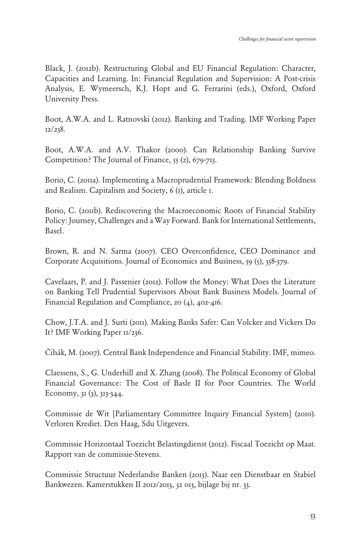Black, J. (2012b). Restructuring Global and EU Financial Regulation: Character, Capacities and Learning. In: Financial Regulation and Supervision: A Post-crisis Analysis, E. Wymeersch, K.J. Hopt and G. Ferrarini (eds.), Oxford, Oxford University Press.

Boot, A.W.A. and L. Ratnovski (2012). Banking and Trading. IMF Working Paper 12/238.

Boot, A.W.A. and A.V. Thakor (2000). Can Relationship Banking Survive Competition? The Journal of Finance, 55 (2), 679-713.

Borio, C. (2011a). Implementing a Macroprudential Framework: Blending Boldness and Realism. Capitalism and Society, 6 (1), article 1.

Borio, C. (2011b). Rediscovering the Macroeconomic Roots of Financial Stability Policy: Journey, Challenges and a Way Forward. Bank for International Settlements, Basel.

Brown, R. and N. Sarma (2007). CEO Overconfidence, CEO Dominance and Corporate Acquisitions. Journal of Economics and Business, 59 (5), 358-379.

Cavelaars, P. and J. Passenier (2012). Follow the Money: What Does the Literature on Banking Tell Prudential Supervisors About Bank Business Models. Journal of Financial Regulation and Compliance, 20 (4), 402-416.

Chow, J.T.A. and J. Surti (2011). Making Banks Safer: Can Volcker and Vickers Do It? IMF Working Paper II/236.

Čihák, M. (2007). Central Bank Independence and Financial Stability. IMF, mimeo.

Claessens, S., G. Underhill and X. Zhang (2008). The Political Economy of Global Financial Governance: The Cost of Basle II for Poor Countries. The World Economy, 31 (3), 313-344.

Commissie de Wit [Parliamentary Committee Inquiry Financial System] (2010). Verloren Krediet. Den Haag, Sdu Uitgevers.

Commissie Horizontaal Toezicht Belastingdienst (2012). Fiscaal Toezicht op Maat. Rapport van de commissie-Stevens.

Commissie Structuur Nederlandse Banken (2013). Naar een Dienstbaar en Stabiel Bankwezen. Kamerstukken II 2012/2013, 32 013, bijlage bij nr. 33.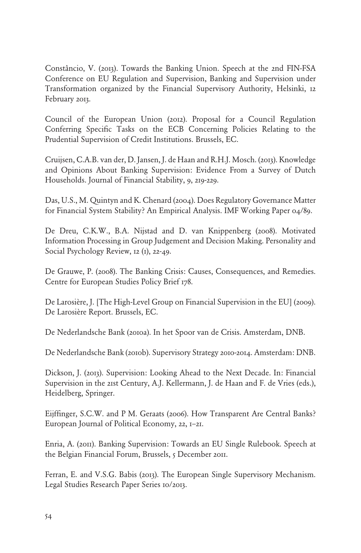Constâncio, V. (2013). Towards the Banking Union. Speech at the 2nd FIN-FSA Conference on EU Regulation and Supervision, Banking and Supervision under Transformation organized by the Financial Supervisory Authority, Helsinki, 12 February 2013.

Council of the European Union (2012). Proposal for a Council Regulation Conferring Specific Tasks on the ECB Concerning Policies Relating to the Prudential Supervision of Credit Institutions. Brussels, EC.

Cruijsen, C.A.B. van der, D. Jansen, J. de Haan and R.H.J. Mosch. (2013). Knowledge and Opinions About Banking Supervision: Evidence From a Survey of Dutch Households. Journal of Financial Stability, 9, 219-229.

Das, U.S., M. Quintyn and K. Chenard (2004). Does Regulatory Governance Matter for Financial System Stability? An Empirical Analysis. IMF Working Paper 04/89.

De Dreu, C.K.W., B.A. Nijstad and D. van Knippenberg (2008). Motivated Information Processing in Group Judgement and Decision Making. Personality and Social Psychology Review, 12 (1), 22-49.

De Grauwe, P. (2008). The Banking Crisis: Causes, Consequences, and Remedies. Centre for European Studies Policy Brief 178.

De Larosière, J. [The High-Level Group on Financial Supervision in the EU] (2009). De Larosière Report. Brussels, EC.

De Nederlandsche Bank (2010a). In het Spoor van de Crisis. Amsterdam, DNB.

De Nederlandsche Bank (2010b). Supervisory Strategy 2010-2014. Amsterdam: DNB.

Dickson, J. (2013). Supervision: Looking Ahead to the Next Decade. In: Financial Supervision in the 21st Century, A.J. Kellermann, J. de Haan and F. de Vries (eds.), Heidelberg, Springer.

Eijffinger, S.C.W. and P M. Geraats (2006). How Transparent Are Central Banks? European Journal of Political Economy, 22, 1–21.

Enria, A. (2011). Banking Supervision: Towards an EU Single Rulebook. Speech at the Belgian Financial Forum, Brussels, 5 December 2011.

Ferran, E. and V.S.G. Babis (2013). The European Single Supervisory Mechanism. Legal Studies Research Paper Series 10/2013.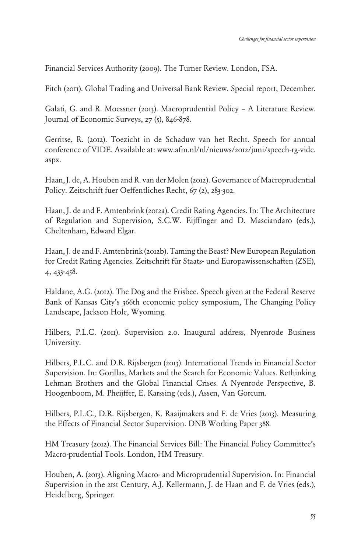Financial Services Authority (2009). The Turner Review. London, FSA.

Fitch (2011). Global Trading and Universal Bank Review. Special report, December.

Galati, G. and R. Moessner (2013). Macroprudential Policy – A Literature Review. Journal of Economic Surveys, 27 (5), 846-878.

Gerritse, R. (2012). Toezicht in de Schaduw van het Recht. Speech for annual conference of VIDE. Available at: www.afm.nl/nl/nieuws/2012/juni/speech-rg-vide. aspx.

Haan, J. de, A. Houben and R. van der Molen (2012). Governance of Macroprudential Policy. Zeitschrift fuer Oeffentliches Recht, 67 (2), 283-302.

Haan, J. de and F. Amtenbrink (2012a). Credit Rating Agencies. In: The Architecture of Regulation and Supervision, S.C.W. Eijffinger and D. Masciandaro (eds.), Cheltenham, Edward Elgar.

Haan, J. de and F. Amtenbrink (2012b). Taming the Beast? New European Regulation for Credit Rating Agencies. Zeitschrift für Staats- und Europawissenschaften (ZSE), 4, 433-458.

Haldane, A.G. (2012). The Dog and the Frisbee. Speech given at the Federal Reserve Bank of Kansas City's 366th economic policy symposium, The Changing Policy Landscape, Jackson Hole, Wyoming.

Hilbers, P.L.C. (2011). Supervision 2.0. Inaugural address, Nyenrode Business University.

Hilbers, P.L.C. and D.R. Rijsbergen (2013). International Trends in Financial Sector Supervision. In: Gorillas, Markets and the Search for Economic Values. Rethinking Lehman Brothers and the Global Financial Crises. A Nyenrode Perspective, B. Hoogenboom, M. Pheijffer, E. Karssing (eds.), Assen, Van Gorcum.

Hilbers, P.L.C., D.R. Rijsbergen, K. Raaijmakers and F. de Vries (2013). Measuring the Effects of Financial Sector Supervision. DNB Working Paper 388.

HM Treasury (2012). The Financial Services Bill: The Financial Policy Committee's Macro-prudential Tools. London, HM Treasury.

Houben, A. (2013). Aligning Macro- and Microprudential Supervision. In: Financial Supervision in the 21st Century, A.J. Kellermann, J. de Haan and F. de Vries (eds.), Heidelberg, Springer.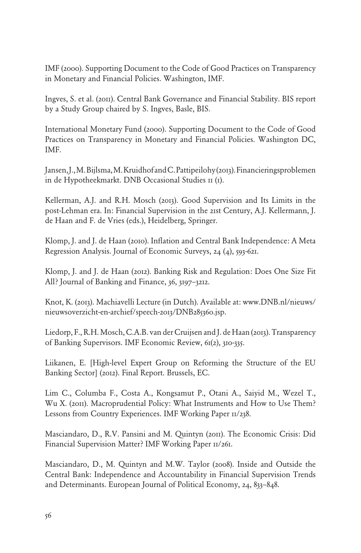IMF (2000). Supporting Document to the Code of Good Practices on Transparency in Monetary and Financial Policies. Washington, IMF.

Ingves, S. et al. (2011). Central Bank Governance and Financial Stability. BIS report by a Study Group chaired by S. Ingves, Basle, BIS.

International Monetary Fund (2000). Supporting Document to the Code of Good Practices on Transparency in Monetary and Financial Policies. Washington DC, IMF.

Jansen, J., M. Bijlsma, M. Kruidhof and C. Pattipeilohy (2013). Financieringsproblemen in de Hypotheekmarkt. DNB Occasional Studies 11 (1).

Kellerman, A.J. and R.H. Mosch (2013). Good Supervision and Its Limits in the post-Lehman era. In: Financial Supervision in the 21st Century, A.J. Kellermann, J. de Haan and F. de Vries (eds.), Heidelberg, Springer.

Klomp, J. and J. de Haan (2010). Inflation and Central Bank Independence: A Meta Regression Analysis. Journal of Economic Surveys, 24 (4), 593-621.

Klomp, J. and J. de Haan (2012). Banking Risk and Regulation: Does One Size Fit All? Journal of Banking and Finance, 36, 3197–3212.

Knot, K. (2013). Machiavelli Lecture (in Dutch). Available at: www.DNB.nl/nieuws/ nieuwsoverzicht-en-archief/speech-2013/DNB285360.jsp.

Liedorp, F., R.H. Mosch, C.A.B. van der Cruijsen and J. de Haan (2013). Transparency of Banking Supervisors. IMF Economic Review, 61(2), 310-335.

Liikanen, E. [High-level Expert Group on Reforming the Structure of the EU Banking Sector] (2012). Final Report. Brussels, EC.

Lim C., Columba F., Costa A., Kongsamut P., Otani A., Saiyid M., Wezel T., Wu X. (2011). Macroprudential Policy: What Instruments and How to Use Them? Lessons from Country Experiences. IMF Working Paper II/238.

Masciandaro, D., R.V. Pansini and M. Quintyn (2011). The Economic Crisis: Did Financial Supervision Matter? IMF Working Paper  $\text{II}/\text{261}$ .

Masciandaro, D., M. Quintyn and M.W. Taylor (2008). Inside and Outside the Central Bank: Independence and Accountability in Financial Supervision Trends and Determinants. European Journal of Political Economy, 24, 833–848.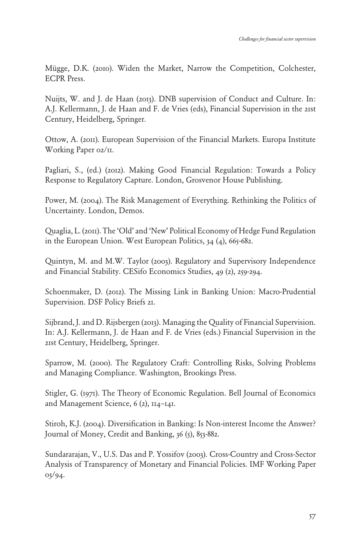Mügge, D.K. (2010). Widen the Market, Narrow the Competition, Colchester, ECPR Press.

Nuijts, W. and J. de Haan (2013). DNB supervision of Conduct and Culture. In: A.J. Kellermann, J. de Haan and F. de Vries (eds), Financial Supervision in the 21st Century, Heidelberg, Springer.

Ottow, A. (2011). European Supervision of the Financial Markets. Europa Institute Working Paper 02/11.

Pagliari, S., (ed.) (2012). Making Good Financial Regulation: Towards a Policy Response to Regulatory Capture. London, Grosvenor House Publishing.

Power, M. (2004). The Risk Management of Everything. Rethinking the Politics of Uncertainty. London, Demos.

Quaglia, L. (2011). The 'Old' and 'New' Political Economy of Hedge Fund Regulation in the European Union. West European Politics,  $34$  (4),  $665-682$ .

Quintyn, M. and M.W. Taylor (2003). Regulatory and Supervisory Independence and Financial Stability. CESifo Economics Studies, 49 (2), 259-294.

Schoenmaker, D. (2012). The Missing Link in Banking Union: Macro-Prudential Supervision. DSF Policy Briefs 21.

Sijbrand, J. and D. Rijsbergen (2013). Managing the Quality of Financial Supervision. In: A.J. Kellermann, J. de Haan and F. de Vries (eds.) Financial Supervision in the 21st Century, Heidelberg, Springer.

Sparrow, M. (2000). The Regulatory Craft: Controlling Risks, Solving Problems and Managing Compliance. Washington, Brookings Press.

Stigler, G. (1971). The Theory of Economic Regulation. Bell Journal of Economics and Management Science, 6 (2), 114–141.

Stiroh, K.J. (2004). Diversification in Banking: Is Non-interest Income the Answer? Journal of Money, Credit and Banking, 36 (5), 853-882.

Sundararajan, V., U.S. Das and P. Yossifov (2003). Cross-Country and Cross-Sector Analysis of Transparency of Monetary and Financial Policies. IMF Working Paper 03/94.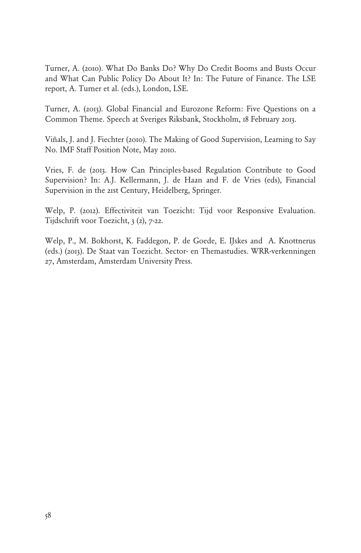Turner, A. (2010). What Do Banks Do? Why Do Credit Booms and Busts Occur and What Can Public Policy Do About It? In: The Future of Finance. The LSE report, A. Turner et al. (eds.), London, LSE.

Turner, A. (2013). Global Financial and Eurozone Reform: Five Questions on a Common Theme. Speech at Sveriges Riksbank, Stockholm, 18 February 2013.

Viñals, J. and J. Fiechter (2010). The Making of Good Supervision, Learning to Say No. IMF Staff Position Note, May 2010.

Vries, F. de (2013. How Can Principles-based Regulation Contribute to Good Supervision? In: A.J. Kellermann, J. de Haan and F. de Vries (eds), Financial Supervision in the 21st Century, Heidelberg, Springer.

Welp, P. (2012). Effectiviteit van Toezicht: Tijd voor Responsive Evaluation. Tijdschrift voor Toezicht, 3 (2), 7-22.

Welp, P., M. Bokhorst, K. Faddegon, P. de Goede, E. IJskes and A. Knottnerus (eds.) (2013). De Staat van Toezicht. Sector- en Themastudies. WRR-verkenningen 27, Amsterdam, Amsterdam University Press.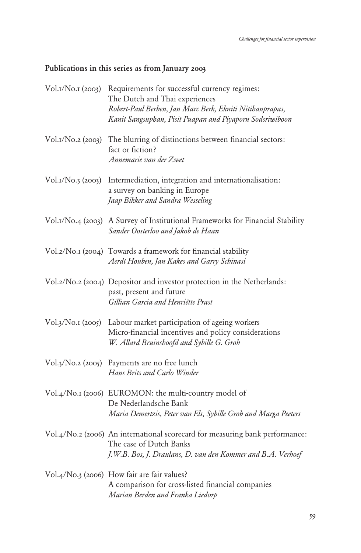#### <span id="page-55-0"></span>Publications in this series as from January 2003

| Vol.1/No.1 (2003) | Requirements for successful currency regimes:<br>The Dutch and Thai experiences<br>Robert-Paul Berben, Jan Marc Berk, Ekniti Nitihanprapas,<br>Kanit Sangsuphan, Pisit Puapan and Piyaporn Sodsriwiboon |
|-------------------|---------------------------------------------------------------------------------------------------------------------------------------------------------------------------------------------------------|
| Vol.1/No.2 (2003) | The blurring of distinctions between financial sectors:<br>fact or fiction?<br>Annemarie van der Zwet                                                                                                   |
| Vol.1/No.3 (2003) | Intermediation, integration and internationalisation:<br>a survey on banking in Europe<br>Jaap Bikker and Sandra Wesseling                                                                              |
|                   | Vol.I/No.4 (2003) A Survey of Institutional Frameworks for Financial Stability<br>Sander Oosterloo and Jakob de Haan                                                                                    |
|                   | Vol.2/No.1 (2004) Towards a framework for financial stability<br>Aerdt Houben, Jan Kakes and Garry Schinasi                                                                                             |
|                   | Vol.2/No.2 (2004) Depositor and investor protection in the Netherlands:<br>past, present and future<br>Gillian Garcia and Henriëtte Prast                                                               |
| Vol.3/No.1 (2005) | Labour market participation of ageing workers<br>Micro-financial incentives and policy considerations<br>W. Allard Bruinshoofd and Sybille G. Grob                                                      |
|                   | Vol.3/No.2 (2005) Payments are no free lunch<br>Hans Brits and Carlo Winder                                                                                                                             |
|                   | Vol.4/No.1 (2006) EUROMON: the multi-country model of<br>De Nederlandsche Bank<br>Maria Demertzis, Peter van Els, Sybille Grob and Marga Peeters                                                        |
|                   | Vol.4/No.2 (2006) An international scorecard for measuring bank performance:<br>The case of Dutch Banks<br>J.W.B. Bos, J. Draulans, D. van den Kommer and B.A. Verhoef                                  |
|                   | Vol.4/No.3 (2006) How fair are fair values?<br>A comparison for cross-listed financial companies<br>Marian Berden and Franka Liedorp                                                                    |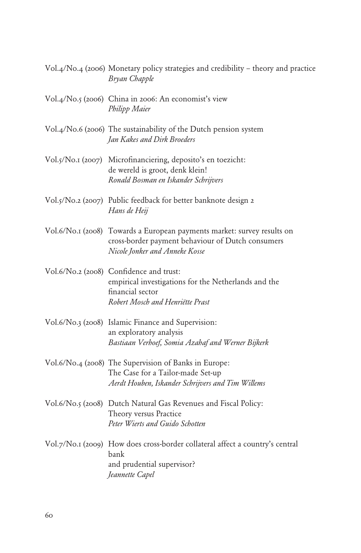|                   | Vol.4/No.4 (2006) Monetary policy strategies and credibility – theory and practice<br>Bryan Chapple                                                            |
|-------------------|----------------------------------------------------------------------------------------------------------------------------------------------------------------|
|                   | Vol.4/No.5 (2006) China in 2006: An economist's view<br>Philipp Maier                                                                                          |
|                   | Vol.4/No.6 (2006) The sustainability of the Dutch pension system<br>Jan Kakes and Dirk Broeders                                                                |
|                   | Vol.5/No.1 (2007) Microfinanciering, deposito's en toezicht:<br>de wereld is groot, denk klein!<br>Ronald Bosman en Iskander Schrijvers                        |
|                   | Vol.5/No.2 (2007) Public feedback for better banknote design 2<br>Hans de Heij                                                                                 |
|                   | Vol.6/No.1 (2008) Towards a European payments market: survey results on<br>cross-border payment behaviour of Dutch consumers<br>Nicole Jonker and Anneke Kosse |
|                   | Vol.6/No.2 (2008) Confidence and trust:<br>empirical investigations for the Netherlands and the<br>financial sector<br>Robert Mosch and Henriëtte Prast        |
|                   | Vol.6/No.3 (2008) Islamic Finance and Supervision:<br>an exploratory analysis<br>Bastiaan Verhoef, Somia Azahaf and Werner Bijkerk                             |
|                   | Vol.6/No.4 (2008) The Supervision of Banks in Europe:<br>The Case for a Tailor-made Set-up<br>Aerdt Houben, Iskander Schrijvers and Tim Willems                |
|                   | Vol.6/No.5 (2008) Dutch Natural Gas Revenues and Fiscal Policy:<br>Theory versus Practice<br>Peter Wierts and Guido Schotten                                   |
| Vol.7/No.1 (2009) | How does cross-border collateral affect a country's central<br>bank<br>and prudential supervisor?<br>Jeannette Capel                                           |
|                   |                                                                                                                                                                |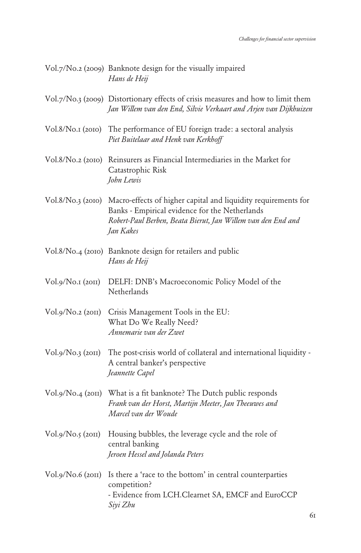|                     | Vol.7/No.2 (2009) Banknote design for the visually impaired<br>Hans de Heij                                                                                                                                     |
|---------------------|-----------------------------------------------------------------------------------------------------------------------------------------------------------------------------------------------------------------|
|                     | Vol.7/No.3 (2009) Distortionary effects of crisis measures and how to limit them<br>Jan Willem van den End, Silvie Verkaart and Arjen van Dijkhuizen                                                            |
|                     | Vol.8/No.1 (2010) The performance of EU foreign trade: a sectoral analysis<br>Piet Buitelaar and Henk van Kerkhoff                                                                                              |
|                     | Vol.8/No.2 (2010) Reinsurers as Financial Intermediaries in the Market for<br>Catastrophic Risk<br>John Lewis                                                                                                   |
|                     | Vol.8/No.3 (2010) Macro-effects of higher capital and liquidity requirements for<br>Banks - Empirical evidence for the Netherlands<br>Robert-Paul Berben, Beata Bierut, Jan Willem van den End and<br>Jan Kakes |
|                     | Vol.8/No.4 (2010) Banknote design for retailers and public<br>Hans de Heij                                                                                                                                      |
| Vol.9/No.1 (2011)   | DELFI: DNB's Macroeconomic Policy Model of the<br>Netherlands                                                                                                                                                   |
| Vol.9/No.2 (2011)   | Crisis Management Tools in the EU:<br>What Do We Really Need?<br>Annemarie van der Zwet                                                                                                                         |
| $Vol.g/No.3$ (2011) | The post-crisis world of collateral and international liquidity -<br>A central banker's perspective<br>Jeannette Capel                                                                                          |
|                     | Vol.9/No.4 (2011) What is a fit banknote? The Dutch public responds<br>Frank van der Horst, Martijn Meeter, Jan Theeuwes and<br>Marcel van der Woude                                                            |
| Vol.g/No.5 (20II)   | Housing bubbles, the leverage cycle and the role of<br>central banking<br>Jeroen Hessel and Jolanda Peters                                                                                                      |
| Vol.9/No.6 (2011)   | Is there a 'race to the bottom' in central counterparties<br>competition?<br>- Evidence from LCH.Clearnet SA, EMCF and EuroCCP<br>Siyi Zhu                                                                      |